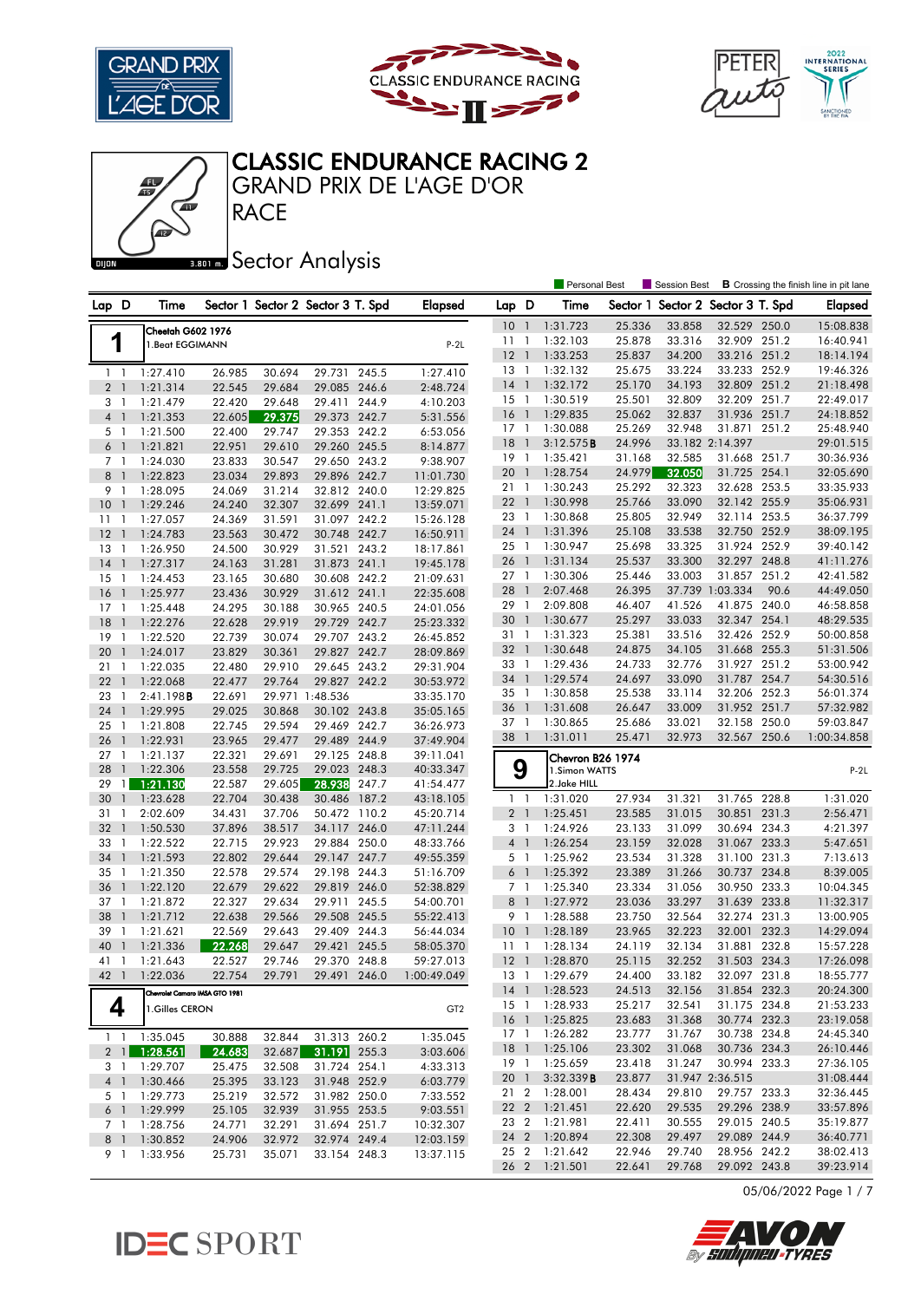





#### GRAND PRIX DE L'AGE D'OR CLASSIC ENDURANCE RACING 2

### **BRONES** Sector Analysis

**RACE** 

|                                |                                |        |        |                                   |       |                 |                 |                          | <b>Personal Best</b> |        | Session Best                      |                 |       | <b>B</b> Crossing the finish line in pit lane |
|--------------------------------|--------------------------------|--------|--------|-----------------------------------|-------|-----------------|-----------------|--------------------------|----------------------|--------|-----------------------------------|-----------------|-------|-----------------------------------------------|
| Lap D                          | Time                           |        |        | Sector 1 Sector 2 Sector 3 T. Spd |       | <b>Elapsed</b>  | Lap D           |                          | Time                 |        | Sector 1 Sector 2 Sector 3 T. Spd |                 |       | <b>Elapsed</b>                                |
|                                | Cheetah G602 1976              |        |        |                                   |       |                 | 10 <sub>1</sub> |                          | 1:31.723             | 25.336 | 33.858                            | 32.529 250.0    |       | 15:08.838                                     |
| 1                              | 1. Beat EGGIMANN               |        |        |                                   |       | $P-2L$          | 11              | $\overline{1}$           | 1:32.103             | 25.878 | 33.316                            | 32.909 251.2    |       | 16:40.941                                     |
|                                |                                |        |        |                                   |       |                 | $12-1$          |                          | 1:33.253             | 25.837 | 34.200                            | 33.216 251.2    |       | 18:14.194                                     |
| $1 \quad 1$                    | 1:27.410                       | 26.985 | 30.694 | 29.731 245.5                      |       | 1:27.410        | 13              | $\overline{\phantom{a}}$ | 1:32.132             | 25.675 | 33.224                            | 33.233          | 252.9 | 19:46.326                                     |
| 2 <sub>1</sub>                 | 1:21.314                       | 22.545 | 29.684 | 29.085 246.6                      |       | 2:48.724        | $14-1$          |                          | 1:32.172             | 25.170 | 34.193                            | 32.809 251.2    |       | 21:18.498                                     |
| 3<br>$\mathbf{1}$              | 1:21.479                       | 22.420 | 29.648 | 29.411                            | 244.9 | 4:10.203        | $15-1$          |                          | 1:30.519             | 25.501 | 32.809                            | 32.209          | 251.7 | 22:49.017                                     |
| $\overline{4}$<br>$\mathbf{1}$ | 1:21.353                       | 22.605 | 29.375 | 29.373 242.7                      |       | 5:31.556        | 16              | $\overline{1}$           | 1:29.835             | 25.062 | 32.837                            | 31.936 251.7    |       | 24:18.852                                     |
| 5 <sub>1</sub>                 | 1:21.500                       | 22.400 | 29.747 | 29.353 242.2                      |       | 6:53.056        | $17-1$          |                          | 1:30.088             | 25.269 | 32.948                            | 31.871 251.2    |       | 25:48.940                                     |
| 6 <sup>1</sup>                 | 1:21.821                       | 22.951 | 29.610 | 29.260 245.5                      |       | 8:14.877        | 18              | $\overline{1}$           | 3:12.575B            | 24.996 |                                   | 33.182 2:14.397 |       | 29:01.515                                     |
| 7 <sub>1</sub>                 | 1:24.030                       | 23.833 | 30.547 | 29.650 243.2                      |       | 9:38.907        | $19-1$          |                          | 1:35.421             | 31.168 | 32.585                            | 31.668 251.7    |       | 30:36.936                                     |
| 8<br>$\overline{1}$            | 1:22.823                       | 23.034 | 29.893 | 29.896 242.7                      |       | 11:01.730       | 20 1            |                          | 1:28.754             | 24.979 | 32.050                            | 31.725 254.1    |       | 32:05.690                                     |
| 9<br>$\mathbf{1}$              | 1:28.095                       | 24.069 | 31.214 | 32.812 240.0                      |       | 12:29.825       | 21 1            |                          | 1:30.243             | 25.292 | 32.323                            | 32.628 253.5    |       | 33:35.933                                     |
| 10<br>$\overline{1}$           | 1:29.246                       | 24.240 | 32.307 | 32.699 241.1                      |       | 13:59.071       | 221             |                          | 1:30.998             | 25.766 | 33.090                            | 32.142 255.9    |       | 35:06.931                                     |
| 11<br>$\overline{1}$           | 1:27.057                       | 24.369 | 31.591 | 31.097 242.2                      |       | 15:26.128       | 23 1            |                          | 1:30.868             | 25.805 | 32.949                            | 32.114 253.5    |       | 36:37.799                                     |
| 12<br>$\overline{1}$           | 1:24.783                       | 23.563 | 30.472 | 30.748 242.7                      |       | 16:50.911       | 24 1            |                          | 1:31.396             | 25.108 | 33.538                            | 32.750 252.9    |       | 38:09.195                                     |
| 13<br>$\overline{1}$           | 1:26.950                       | 24.500 | 30.929 | 31.521 243.2                      |       | 18:17.861       | $25 \quad 1$    |                          | 1:30.947             | 25.698 | 33.325                            | 31.924          | 252.9 | 39:40.142                                     |
| 14<br>$\mathbf{1}$             | 1:27.317                       | 24.163 | 31.281 | 31.873 241.1                      |       | 19:45.178       | 26 1            |                          | 1:31.134             | 25.537 | 33.300                            | 32.297 248.8    |       | 41:11.276                                     |
| 15<br>1                        | 1:24.453                       | 23.165 | 30.680 | 30.608 242.2                      |       | 21:09.631       | $27-1$          |                          | 1:30.306             | 25.446 | 33.003                            | 31.857          | 251.2 | 42:41.582                                     |
| 16<br>$\mathbf{1}$             | 1:25.977                       | 23.436 | 30.929 | 31.612 241.1                      |       | 22:35.608       | 28              | $\mathbf{1}$             | 2:07.468             | 26.395 |                                   | 37.739 1:03.334 | 90.6  | 44:49.050                                     |
| $17-1$                         | 1:25.448                       | 24.295 | 30.188 | 30.965 240.5                      |       | 24:01.056       | 29 1            |                          | 2:09.808             | 46.407 | 41.526                            | 41.875 240.0    |       | 46:58.858                                     |
| 18<br>$\overline{1}$           | 1:22.276                       | 22.628 | 29.919 | 29.729 242.7                      |       | 25:23.332       | 30              | $\overline{1}$           | 1:30.677             | 25.297 | 33.033                            | 32.347 254.1    |       | 48:29.535                                     |
| 19<br>-1                       | 1:22.520                       | 22.739 | 30.074 | 29.707 243.2                      |       | 26:45.852       | 31 1            |                          | 1:31.323             | 25.381 | 33.516                            | 32.426 252.9    |       | 50:00.858                                     |
| 20<br>$\mathbf{1}$             | 1:24.017                       | 23.829 | 30.361 | 29.827 242.7                      |       | 28:09.869       | 32 1            |                          | 1:30.648             | 24.875 | 34.105                            | 31.668 255.3    |       | 51:31.506                                     |
| 21<br>1                        | 1:22.035                       | 22.480 | 29.910 | 29.645 243.2                      |       | 29:31.904       | 33 1            |                          | 1:29.436             | 24.733 | 32.776                            | 31.927 251.2    |       | 53:00.942                                     |
| 22<br>$\overline{1}$           | 1:22.068                       | 22.477 | 29.764 | 29.827 242.2                      |       | 30:53.972       | 34              | $\overline{1}$           | 1:29.574             | 24.697 | 33.090                            | 31.787          | 254.7 | 54:30.516                                     |
| 23<br>$\overline{1}$           | 2:41.198B                      | 22.691 |        | 29.971 1:48.536                   |       | 33:35.170       | 35              | $\overline{1}$           | 1:30.858             | 25.538 | 33.114                            | 32.206 252.3    |       | 56:01.374                                     |
| 24<br>$\overline{1}$           | 1:29.995                       | 29.025 | 30.868 | 30.102 243.8                      |       | 35:05.165       | 36              | $\overline{1}$           | 1:31.608             | 26.647 | 33.009                            | 31.952 251.7    |       | 57:32.982                                     |
| 25<br>-1                       | 1:21.808                       | 22.745 | 29.594 | 29.469 242.7                      |       | 36:26.973       | 37              | $\overline{\phantom{a}}$ | 1:30.865             | 25.686 | 33.021                            | 32.158          | 250.0 | 59:03.847                                     |
| 26<br>$\mathbf{1}$             | 1:22.931                       | 23.965 | 29.477 | 29.489 244.9                      |       | 37:49.904       | 38 1            |                          | 1:31.011             | 25.471 | 32.973                            | 32.567 250.6    |       | 1:00:34.858                                   |
| 27<br>1                        | 1:21.137                       | 22.321 | 29.691 | 29.125 248.8                      |       | 39:11.041       |                 |                          | Chevron B26 1974     |        |                                   |                 |       |                                               |
| 28<br>$\mathbf{1}$             | 1:22.306                       | 23.558 | 29.725 | 29.023 248.3                      |       | 40:33.347       | 9               |                          | 1.Simon WATTS        |        |                                   |                 |       | $P-2L$                                        |
| 29                             | $1 \overline{1:21.130}$        | 22.587 | 29.605 | 28.938                            | 247.7 | 41:54.477       |                 |                          | 2.Jake HILL          |        |                                   |                 |       |                                               |
| 30<br>$\overline{1}$           | 1:23.628                       | 22.704 | 30.438 | 30.486 187.2                      |       | 43:18.105       | $1\quad$        |                          | 1:31.020             | 27.934 | 31.321                            | 31.765 228.8    |       | 1:31.020                                      |
| 31<br>$\mathbf{1}$             | 2:02.609                       | 34.431 | 37.706 | 50.472 110.2                      |       | 45:20.714       | 2 <sub>1</sub>  |                          | 1:25.451             | 23.585 | 31.015                            | 30.851          | 231.3 | 2:56.471                                      |
| 32<br>$\mathbf{1}$             | 1:50.530                       | 37.896 | 38.517 | 34.117                            | 246.0 | 47:11.244       | 3 <sup>1</sup>  |                          | 1:24.926             | 23.133 | 31.099                            | 30.694 234.3    |       | 4:21.397                                      |
| 33<br>1                        | 1:22.522                       | 22.715 | 29.923 | 29.884 250.0                      |       | 48:33.766       | $4-1$           |                          | 1:26.254             | 23.159 | 32.028                            | 31.067 233.3    |       | 5:47.651                                      |
| 34<br>$\mathbf{1}$             | 1:21.593                       | 22.802 | 29.644 | 29.147 247.7                      |       | 49:55.359       | 5 <sub>1</sub>  |                          | 1:25.962             | 23.534 | 31.328                            | 31.100 231.3    |       | 7:13.613                                      |
| 35<br>$\overline{1}$           | 1:21.350                       | 22.578 | 29.574 | 29.198 244.3                      |       | 51:16.709       | 6 <sup>1</sup>  |                          | 1:25.392             | 23.389 | 31.266                            | 30.737          | 234.8 | 8:39.005                                      |
| 36<br>$\overline{1}$           | 1:22.120                       | 22.679 | 29.622 | 29.819 246.0                      |       | 52:38.829       | 7 <sub>1</sub>  |                          | 1:25.340             | 23.334 | 31.056                            | 30.950 233.3    |       | 10:04.345                                     |
| 37<br>$\overline{1}$           | 1:21.872                       | 22.327 | 29.634 | 29.911 245.5                      |       | 54:00.701       | 8 <sup>1</sup>  |                          | 1:27.972             | 23.036 | 33.297                            | 31.639          | 233.8 | 11:32.317                                     |
| 38<br>$\mathbf{1}$             | 1:21.712                       | 22.638 | 29.566 | 29.508 245.5                      |       | 55:22.413       | 9 1             |                          | 1:28.588             | 23.750 | 32.564                            | 32.274 231.3    |       | 13:00.905                                     |
| 39<br>-1                       | 1:21.621                       | 22.569 | 29.643 | 29.409 244.3                      |       | 56:44.034       | 10 <sub>1</sub> |                          | 1:28.189             | 23.965 | 32.223                            | 32.001          | 232.3 | 14:29.094                                     |
| 40<br>$\mathbf{1}$             | 1:21.336                       | 22.268 | 29.647 | 29.421 245.5                      |       | 58:05.370       | 11              | $\overline{1}$           | 1:28.134             | 24.119 | 32.134                            | 31.881          | 232.8 | 15:57.228                                     |
| 41 1                           | 1:21.643                       | 22.527 | 29.746 | 29.370 248.8                      |       | 59:27.013       | $12-1$          |                          | 1:28.870             | 25.115 | 32.252                            | 31.503 234.3    |       | 17:26.098                                     |
|                                | 42 1 1:22.036                  | 22.754 | 29.791 | 29.491 246.0                      |       | 1:00:49.049     |                 |                          | 13 1 1:29.679        | 24.400 | 33.182                            | 32.097 231.8    |       | 18:55.777                                     |
|                                | Chevrolet Camaro IMSA GTO 1981 |        |        |                                   |       |                 |                 |                          | 14 1 1:28.523        | 24.513 | 32.156                            | 31.854 232.3    |       | 20:24.300                                     |
| 4                              | 1.Gilles CERON                 |        |        |                                   |       | GT <sub>2</sub> |                 |                          | 15 1 1:28.933        | 25.217 | 32.541                            | 31.175 234.8    |       | 21:53.233                                     |
|                                |                                |        |        |                                   |       |                 |                 |                          | 16 1 1:25.825        | 23.683 | 31.368                            | 30.774 232.3    |       | 23:19.058                                     |
|                                | 1 1:35.045                     | 30.888 | 32.844 | 31.313 260.2                      |       | 1:35.045        |                 |                          | 17 1 1:26.282        | 23.777 | 31.767                            | 30.738 234.8    |       | 24:45.340                                     |
|                                | $2 \quad 1 \quad 1:28.561$     | 24.683 | 32.687 | 31.191 255.3                      |       | 3:03.606        |                 |                          | 18 1 1:25.106        | 23.302 | 31.068                            | 30.736 234.3    |       | 26:10.446                                     |
|                                | 3 1 1:29.707                   | 25.475 | 32.508 | 31.724 254.1                      |       | 4:33.313        |                 |                          | 19 1 1:25.659        | 23.418 | 31.247                            | 30.994 233.3    |       | 27:36.105                                     |
|                                | 4 1 1:30.466                   | 25.395 | 33.123 | 31.948 252.9                      |       | 6:03.779        | 20 <sub>1</sub> |                          | 3:32.339B            | 23.877 |                                   | 31.947 2:36.515 |       | 31:08.444                                     |
|                                | 5 1 1:29.773                   | 25.219 | 32.572 | 31.982 250.0                      |       | 7:33.552        |                 |                          | 21 2 1:28.001        | 28.434 | 29.810                            | 29.757 233.3    |       | 32:36.445                                     |
|                                | 6 1 1:29.999                   | 25.105 | 32.939 | 31.955 253.5                      |       | 9:03.551        |                 |                          | 22 2 1:21.451        | 22.620 | 29.535                            | 29.296 238.9    |       | 33:57.896                                     |
|                                | 7 1 1:28.756                   | 24.771 | 32.291 | 31.694 251.7                      |       | 10:32.307       | 23 2            |                          | 1:21.981             | 22.411 | 30.555                            | 29.015 240.5    |       | 35:19.877                                     |
|                                | 8 1 1:30.852                   | 24.906 | 32.972 | 32.974 249.4                      |       | 12:03.159       |                 |                          | 24 2 1:20.894        | 22.308 | 29.497                            | 29.089 244.9    |       | 36:40.771                                     |
|                                | 9 1 1:33.956                   | 25.731 | 35.071 | 33.154 248.3                      |       | 13:37.115       |                 |                          | 25 2 1:21.642        | 22.946 | 29.740                            | 28.956 242.2    |       | 38:02.413                                     |
|                                |                                |        |        |                                   |       |                 |                 |                          | 26 2 1:21.501        | 22.641 | 29.768                            | 29.092 243.8    |       | 39:23.914                                     |

05/06/2022 Page 1 / 7



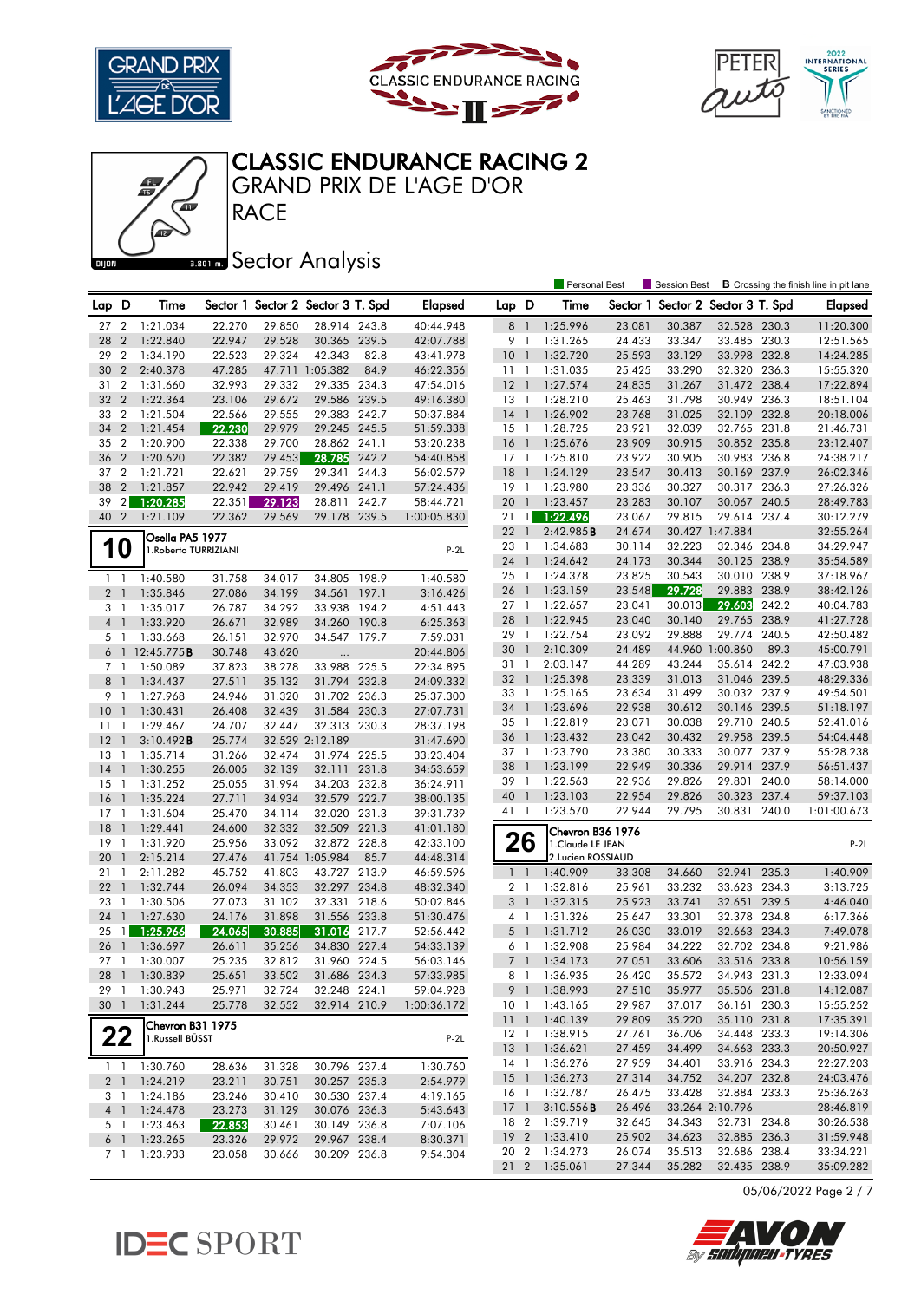





# CLASSIC ENDURANCE RACING 2

**RACE** GRAND PRIX DE L'AGE D'OR

## **Bana** Sector Analysis

|                 |                |                                          |        |        |                                   |       |                |                         |                | <b>Personal Best</b> |                  | <b>Session Best</b>      |                              |       | <b>B</b> Crossing the finish line in pit lane |
|-----------------|----------------|------------------------------------------|--------|--------|-----------------------------------|-------|----------------|-------------------------|----------------|----------------------|------------------|--------------------------|------------------------------|-------|-----------------------------------------------|
| Lap D           |                | Time                                     |        |        | Sector 1 Sector 2 Sector 3 T. Spd |       | <b>Elapsed</b> | Lap D                   |                | Time                 | Sector 1         | Sector 2 Sector 3 T. Spd |                              |       | <b>Elapsed</b>                                |
| 27              | $\overline{2}$ | 1:21.034                                 | 22.270 | 29.850 | 28.914 243.8                      |       | 40:44.948      | 8 <sup>1</sup>          |                | 1:25.996             | 23.081           | 30.387                   | 32.528 230.3                 |       | 11:20.300                                     |
| 28              | $\overline{2}$ | 1:22.840                                 | 22.947 | 29.528 | 30.365 239.5                      |       | 42:07.788      | 9 1                     |                | 1:31.265             | 24.433           | 33.347                   | 33.485 230.3                 |       | 12:51.565                                     |
| 29              | $\overline{2}$ | 1:34.190                                 | 22.523 | 29.324 | 42.343                            | 82.8  | 43:41.978      | 10 <sub>1</sub>         |                | 1:32.720             | 25.593           | 33.129                   | 33.998 232.8                 |       | 14:24.285                                     |
| 30              | $\overline{2}$ | 2:40.378                                 | 47.285 |        | 47.711 1:05.382                   | 84.9  | 46:22.356      | 11                      | $\overline{1}$ | 1:31.035             | 25.425           | 33.290                   | 32.320 236.3                 |       | 15:55.320                                     |
| 31              | $\overline{2}$ | 1:31.660                                 | 32.993 | 29.332 | 29.335 234.3                      |       | 47:54.016      | $12-1$                  |                | 1:27.574             | 24.835           | 31.267                   | 31.472 238.4                 |       | 17:22.894                                     |
| 32              | $\overline{2}$ | 1:22.364                                 | 23.106 | 29.672 | 29.586 239.5                      |       | 49:16.380      | $13-1$                  |                | 1:28.210             | 25.463           | 31.798                   | 30.949                       | 236.3 | 18:51.104                                     |
| 33              | $\overline{2}$ | 1:21.504                                 | 22.566 | 29.555 | 29.383 242.7                      |       | 50:37.884      | $14-1$                  |                | 1:26.902             | 23.768           | 31.025                   | 32.109 232.8                 |       | 20:18.006                                     |
| 34              | $\overline{2}$ | 1:21.454                                 | 22.230 | 29.979 | 29.245 245.5                      |       | 51:59.338      | $15-1$                  |                | 1:28.725             | 23.921           | 32.039                   | 32.765 231.8                 |       | 21:46.731                                     |
| 35              | $\overline{2}$ | 1:20.900                                 | 22.338 | 29.700 | 28.862 241.1                      |       | 53:20.238      | 16                      | $\overline{1}$ | 1:25.676             | 23.909           | 30.915                   | 30.852 235.8                 |       | 23:12.407                                     |
| 36              | $\overline{2}$ | 1:20.620                                 | 22.382 | 29.453 | 28.785                            | 242.2 | 54:40.858      | $17-1$                  |                | 1:25.810             | 23.922           | 30.905                   | 30.983 236.8                 |       | 24:38.217                                     |
| 37              | $\overline{2}$ | 1:21.721                                 | 22.621 | 29.759 | 29.341                            | 244.3 | 56:02.579      | 18                      | $\overline{1}$ | 1:24.129             | 23.547           | 30.413                   | 30.169 237.9                 |       | 26:02.346                                     |
| 38              | $\overline{2}$ | 1:21.857                                 | 22.942 | 29.419 | 29.496 241.1                      |       | 57:24.436      | $19-1$                  |                | 1:23.980             | 23.336           | 30.327                   | 30.317 236.3                 |       | 27:26.326                                     |
| 39              | $\overline{2}$ | 1:20.285                                 | 22.351 | 29.123 | 28.811 242.7                      |       | 58:44.721      | 20 1                    |                | 1:23.457             | 23.283           | 30.107                   | 30.067                       | 240.5 | 28:49.783                                     |
| 40 2            |                | 1:21.109                                 | 22.362 | 29.569 | 29.178 239.5                      |       | 1:00:05.830    | 21                      | $\mathbf{1}$   | 1:22.496             | 23.067           | 29.815                   | 29.614 237.4                 |       | 30:12.279                                     |
|                 |                |                                          |        |        |                                   |       |                | 22 1                    |                | 2:42.985B            | 24.674           |                          | 30.427 1:47.884              |       | 32:55.264                                     |
|                 | <b>10</b>      | Osella PA5 1977<br>1. Roberto TURRIZIANI |        |        |                                   |       | $P-2L$         | 23                      | $\overline{1}$ | 1:34.683             | 30.114           | 32.223                   | 32.346 234.8                 |       | 34:29.947                                     |
|                 |                |                                          |        |        |                                   |       |                | 24 1                    |                | 1:24.642             | 24.173           | 30.344                   | 30.125 238.9                 |       | 35:54.589                                     |
| $1\quad$        |                | 1:40.580                                 | 31.758 | 34.017 | 34.805 198.9                      |       | 1:40.580       | 25 1                    |                | 1:24.378             | 23.825           | 30.543                   | 30.010                       | 238.9 | 37:18.967                                     |
| 2 <sub>1</sub>  |                | 1:35.846                                 | 27.086 | 34.199 | 34.561 197.1                      |       | 3:16.426       | 26                      | $\mathbf{1}$   | 1:23.159             | 23.548           | 29.728                   | 29.883 238.9                 |       | 38:42.126                                     |
| 3 1             |                | 1:35.017                                 | 26.787 | 34.292 | 33.938 194.2                      |       | 4:51.443       | 27 1                    |                | 1:22.657             | 23.041           | 30.013                   | 29.603                       | 242.2 | 40:04.783                                     |
| 4 <sup>1</sup>  |                | 1:33.920                                 | 26.671 | 32.989 | 34.260 190.8                      |       | 6:25.363       | 28                      | $\mathbf{1}$   | 1:22.945             | 23.040           | 30.140                   | 29.765 238.9                 |       | 41:27.728                                     |
| 5 <sub>1</sub>  |                | 1:33.668                                 | 26.151 | 32.970 | 34.547 179.7                      |       | 7:59.031       | 29 1                    |                | 1:22.754             | 23.092           | 29.888                   | 29.774 240.5                 |       | 42:50.482                                     |
| 6               | $\overline{1}$ | 12:45.775 <b>B</b>                       | 30.748 | 43.620 | $\ldots$                          |       | 20:44.806      | 30                      | $\overline{1}$ | 2:10.309             | 24.489           |                          | 44.960 1:00.860              | 89.3  | 45:00.791                                     |
| 7 <sub>1</sub>  |                | 1:50.089                                 | 37.823 | 38.278 | 33.988 225.5                      |       | 22:34.895      | 31 1                    |                | 2:03.147             | 44.289           | 43.244                   | 35.614 242.2                 |       | 47:03.938                                     |
| 8               | $\overline{1}$ | 1:34.437                                 | 27.511 | 35.132 | 31.794 232.8                      |       | 24:09.332      | 32 1                    |                | 1:25.398             | 23.339           | 31.013                   | 31.046 239.5                 |       | 48:29.336                                     |
| 9               | $\overline{1}$ | 1:27.968                                 | 24.946 | 31.320 | 31.702 236.3                      |       | 25:37.300      | 33 1                    |                | 1:25.165             | 23.634           | 31.499                   | 30.032 237.9                 |       | 49:54.501                                     |
| 10              | $\overline{1}$ | 1:30.431                                 | 26.408 | 32.439 | 31.584 230.3                      |       | 27:07.731      | 34 1                    |                | 1:23.696             | 22.938           | 30.612                   | 30.146 239.5                 |       | 51:18.197                                     |
| 11              | $\mathbf{1}$   | 1:29.467                                 | 24.707 | 32.447 | 32.313 230.3                      |       | 28:37.198      | 35 1                    |                | 1:22.819             | 23.071           | 30.038                   | 29.710                       | 240.5 | 52:41.016                                     |
| 12              | $\overline{1}$ | 3:10.492B                                | 25.774 |        | 32.529 2:12.189                   |       | 31:47.690      | 36 1                    |                | 1:23.432             | 23.042           | 30.432                   | 29.958 239.5                 |       | 54:04.448                                     |
| 13              | -1             | 1:35.714                                 | 31.266 | 32.474 | 31.974 225.5                      |       | 33:23.404      | 37 1                    |                | 1:23.790             | 23.380           | 30.333                   | 30.077 237.9                 |       | 55:28.238                                     |
| 14              | $\overline{1}$ | 1:30.255                                 | 26.005 | 32.139 | 32.111 231.8                      |       | 34:53.659      | 38                      | $\mathbf{1}$   | 1:23.199             | 22.949           | 30.336                   | 29.914 237.9                 |       | 56:51.437                                     |
| 15              | $\overline{1}$ | 1:31.252                                 | 25.055 | 31.994 | 34.203 232.8                      |       | 36:24.911      | 39 1                    |                | 1:22.563             | 22.936           | 29.826                   | 29.801                       | 240.0 | 58:14.000                                     |
| 16              | $\overline{1}$ | 1:35.224                                 | 27.711 | 34.934 | 32.579                            | 222.7 | 38:00.135      | 40                      | $\overline{1}$ | 1:23.103             | 22.954           | 29.826                   | 30.323 237.4                 |       | 59:37.103                                     |
| 17              | -1             | 1:31.604                                 | 25.470 | 34.114 | 32.020 231.3                      |       | 39:31.739      | 41 1                    |                | 1:23.570             | 22.944           | 29.795                   | 30.831                       | 240.0 | 1:01:00.673                                   |
| 18              | $\mathbf{1}$   | 1:29.441                                 | 24.600 | 32.332 | 32.509 221.3                      |       | 41:01.180      |                         |                | Chevron B36 1976     |                  |                          |                              |       |                                               |
| 19              | -1             | 1:31.920                                 | 25.956 | 33.092 | 32.872 228.8                      |       | 42:33.100      |                         | 26             | 1. Claude LE JEAN    |                  |                          |                              |       | $P-2L$                                        |
| 20              | $\overline{1}$ | 2:15.214                                 | 27.476 |        | 41.754 1:05.984                   | 85.7  | 44:48.314      |                         |                | 2.Lucien ROSSIAUD    |                  |                          |                              |       |                                               |
| 21              | $\overline{1}$ | 2:11.282                                 | 45.752 | 41.803 | 43.727 213.9                      |       | 46:59.596      | 1 <sup>1</sup>          |                | 1:40.909             | 33.308           | 34.660                   | 32.941                       | 235.3 | 1:40.909                                      |
| 22              | $\overline{1}$ | 1:32.744                                 | 26.094 | 34.353 | 32.297 234.8                      |       | 48:32.340      | 2 <sub>1</sub>          |                | 1:32.816             | 25.961           | 33.232                   | 33.623 234.3                 |       | 3:13.725                                      |
| 23              | $\overline{1}$ | 1:30.506                                 | 27.073 | 31.102 | 32.331 218.6                      |       | 50:02.846      | 3 <sup>1</sup>          |                | 1:32.315             | 25.923           | 33.741                   | 32.651                       | 239.5 | 4:46.040                                      |
| 24              | $\mathbf{1}$   | 1:27.630                                 | 24.176 | 31.898 | 31.556 233.8                      |       | 51:30.476      | $4-1$                   |                | 1:31.326             | 25.647           | 33.301                   | 32.378 234.8                 |       | 6:17.366                                      |
| 25              | $\mathbf{1}$   | 1:25.966                                 | 24.065 | 30.885 | 31.016                            | 217.7 | 52:56.442      | 5 <sub>1</sub>          |                | 1:31.712             | 26.030           | 33.019                   | 32.663 234.3                 |       | 7:49.078                                      |
| 26              | $\overline{1}$ | 1:36.697                                 | 26.611 | 35.256 | 34.830 227.4                      |       | 54:33.139      | 6                       | - 1            | 1:32.908             | 25.984           | 34.222                   | 32.702 234.8                 |       | 9:21.986                                      |
| 27 <sub>1</sub> |                | 1:30.007                                 | 25.235 | 32.812 | 31.960 224.5                      |       | 56:03.146      | 7 <sup>1</sup>          |                | 1:34.173             | 27.051           | 33.606                   | 33.516 233.8                 |       | 10:56.159                                     |
|                 |                | 28 1 1:30.839                            | 25.651 | 33.502 | 31.686 234.3                      |       | 57:33.985      |                         |                | 8 1 1:36.935         | 26.420           | 35.572                   | 34.943 231.3                 |       | 12:33.094                                     |
| 29 1            |                | 1:30.943                                 | 25.971 | 32.724 | 32.248 224.1                      |       | 59:04.928      |                         |                | 9 1 1:38.993         | 27.510           | 35.977                   | 35.506 231.8                 |       | 14:12.087                                     |
| 30 <sub>1</sub> |                | 1:31.244                                 | 25.778 | 32.552 | 32.914 210.9                      |       | 1:00:36.172    | 10 <sub>1</sub>         |                | 1:43.165             | 29.987           | 37.017                   | 36.161 230.3                 |       | 15:55.252                                     |
|                 |                | <b>Chevron B31 1975</b>                  |        |        |                                   |       |                |                         | 111            | 1:40.139             | 29.809           | 35.220                   | 35.110 231.8                 |       | 17:35.391                                     |
|                 | 22             | 1.Russell BÜSST                          |        |        |                                   |       | $P-2L$         |                         |                | 12 1 1:38.915        | 27.761           | 36.706                   | 34.448 233.3                 |       | 19:14.306                                     |
|                 |                |                                          |        |        |                                   |       |                | 13 1                    |                | 1:36.621             | 27.459           | 34.499                   | 34.663 233.3                 |       | 20:50.927                                     |
|                 |                | 1 1:30.760                               | 28.636 | 31.328 | 30.796 237.4                      |       | 1:30.760       |                         | 14 1           | 1:36.276             | 27.959           | 34.401                   | 33.916 234.3                 |       | 22:27.203                                     |
| 2 <sub>1</sub>  |                | 1:24.219                                 | 23.211 | 30.751 | 30.257 235.3                      |       | 2:54.979       |                         |                | 15 1 1:36.273        | 27.314           | 34.752                   | 34.207 232.8                 |       | 24:03.476                                     |
|                 | 3 1            | 1:24.186                                 | 23.246 | 30.410 | 30.530 237.4                      |       | 4:19.165       | 16 1                    |                | 1:32.787             | 26.475           | 33.428                   | 32.884 233.3                 |       | 25:36.263                                     |
|                 |                | 4 1 1:24.478                             | 23.273 | 31.129 | 30.076 236.3                      |       | 5:43.643       | 17 1                    |                | 3:10.556B            | 26.496           |                          | 33.264 2:10.796              |       | 28:46.819                                     |
|                 | 5 1            | 1:23.463                                 | 22.853 | 30.461 | 30.149 236.8                      |       | 7:07.106       | 18 2                    |                | 1:39.719             | 32.645           | 34.343                   | 32.731 234.8                 |       | 30:26.538<br>31:59.948                        |
| $6-1$           |                | 1:23.265                                 | 23.326 | 29.972 | 29.967 238.4                      |       | 8:30.371       | 19 <sup>2</sup><br>20 2 |                | 1:33.410<br>1:34.273 | 25.902<br>26.074 | 34.623<br>35.513         | 32.885 236.3<br>32.686 238.4 |       | 33:34.221                                     |
|                 |                | 7 1 1:23.933                             | 23.058 | 30.666 | 30.209 236.8                      |       | 9:54.304       |                         |                | 21 2 1:35.061        | 27.344           | 35.282                   | 32.435 238.9                 |       | 35:09.282                                     |
|                 |                |                                          |        |        |                                   |       |                |                         |                |                      |                  |                          |                              |       |                                               |

05/06/2022 Page 2 / 7



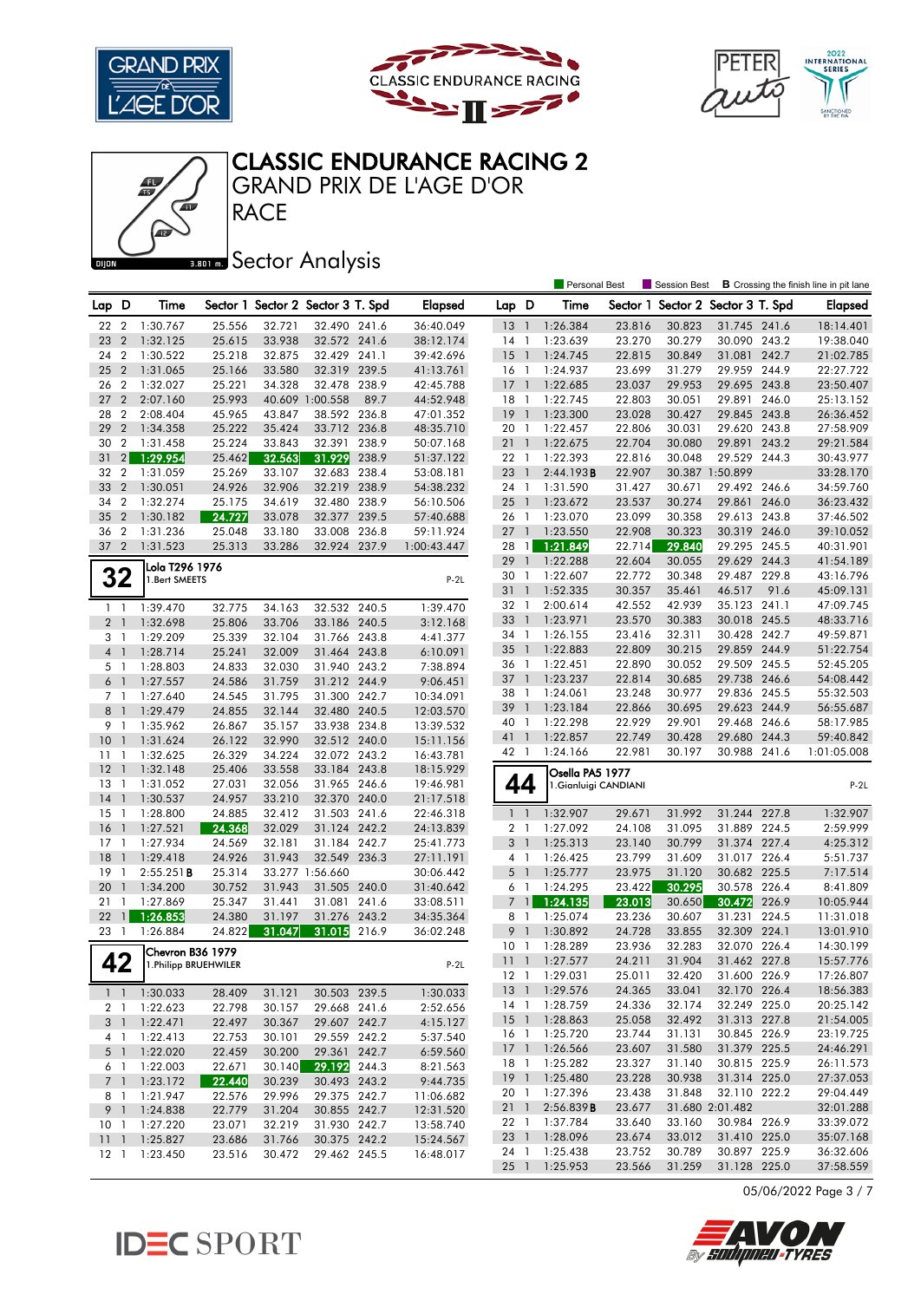







**RACE** GRAND PRIX DE L'AGE D'OR

### **BRONES** Sector Analysis

|                 |                |                            |                  |        |                                   |       |                        |                 |                | <b>Personal Best</b>  |                  | Session Best                      |                 |       | <b>B</b> Crossing the finish line in pit lane |
|-----------------|----------------|----------------------------|------------------|--------|-----------------------------------|-------|------------------------|-----------------|----------------|-----------------------|------------------|-----------------------------------|-----------------|-------|-----------------------------------------------|
| Lap D           |                | Time                       |                  |        | Sector 1 Sector 2 Sector 3 T. Spd |       | <b>Elapsed</b>         | Lap D           |                | Time                  |                  | Sector 1 Sector 2 Sector 3 T. Spd |                 |       | <b>Elapsed</b>                                |
| 22              | $\overline{2}$ | 1:30.767                   | 25.556           | 32.721 | 32.490 241.6                      |       | 36:40.049              | 13 <sup>1</sup> |                | 1:26.384              | 23.816           | 30.823                            | 31.745 241.6    |       | 18:14.401                                     |
| 23              | $\overline{2}$ | 1:32.125                   | 25.615           | 33.938 | 32.572 241.6                      |       | 38:12.174              | $14-1$          |                | 1:23.639              | 23.270           | 30.279                            | 30.090 243.2    |       | 19:38.040                                     |
| 24              | $\overline{2}$ | 1:30.522                   | 25.218           | 32.875 | 32.429 241.1                      |       | 39:42.696              | 15              | $\overline{1}$ | 1:24.745              | 22.815           | 30.849                            | 31.081          | 242.7 | 21:02.785                                     |
| 25              | $\overline{2}$ | 1:31.065                   | 25.166           | 33.580 | 32.319 239.5                      |       | 41:13.761              | 16 1            |                | 1:24.937              | 23.699           | 31.279                            | 29.959 244.9    |       | 22:27.722                                     |
| 26              | $\overline{2}$ | 1:32.027                   | 25.221           | 34.328 | 32.478 238.9                      |       | 42:45.788              | $17-1$          |                | 1:22.685              | 23.037           | 29.953                            | 29.695 243.8    |       | 23:50.407                                     |
| 27              | $\overline{2}$ | 2:07.160                   | 25.993           |        | 40.609 1:00.558                   | 89.7  | 44:52.948              | 18 1            |                | 1:22.745              | 22.803           | 30.051                            | 29.891 246.0    |       | 25:13.152                                     |
| 28              | $\overline{2}$ | 2:08.404                   | 45.965           | 43.847 | 38.592 236.8                      |       |                        | 19              | $\overline{1}$ | 1:23.300              | 23.028           |                                   | 29.845 243.8    |       | 26:36.452                                     |
| 29              | $\overline{2}$ | 1:34.358                   | 25.222           | 35.424 | 33.712                            | 236.8 | 47:01.352<br>48:35.710 | 20 1            |                | 1:22.457              | 22.806           | 30.427<br>30.031                  | 29.620 243.8    |       | 27:58.909                                     |
| 30              | $\overline{2}$ | 1:31.458                   | 25.224           | 33.843 | 32.391                            | 238.9 | 50:07.168              | 21              | $\overline{1}$ | 1:22.675              | 22.704           | 30.080                            | 29.891 243.2    |       | 29:21.584                                     |
| 31              | 2              | 1:29.954                   | 25.462           | 32.563 | 31.929                            | 238.9 | 51:37.122              |                 |                |                       |                  |                                   | 29.529 244.3    |       |                                               |
| 32              | $\overline{2}$ | 1:31.059                   | 25.269           | 33.107 | 32.683 238.4                      |       |                        | 22 1<br>23      | $\overline{1}$ | 1:22.393              | 22.816<br>22.907 | 30.048                            | 30.387 1:50.899 |       | 30:43.977<br>33:28.170                        |
| 33              | $\overline{2}$ |                            | 24.926           | 32.906 | 32.219 238.9                      |       | 53:08.181              | 24 1            |                | 2:44.193B             |                  |                                   | 29.492 246.6    |       | 34:59.760                                     |
|                 | $\overline{2}$ | 1:30.051<br>1:32.274       |                  |        | 32.480 238.9                      |       | 54:38.232              | $25-1$          |                | 1:31.590<br>1:23.672  | 31.427           | 30.671                            | 29.861          | 246.0 |                                               |
| 34<br>35        | $\overline{2}$ |                            | 25.175<br>24.727 | 34.619 | 32.377 239.5                      |       | 56:10.506              |                 |                |                       | 23.537<br>23.099 | 30.274<br>30.358                  | 29.613 243.8    |       | 36:23.432                                     |
|                 | $\overline{2}$ | 1:30.182                   |                  | 33.078 |                                   |       | 57:40.688              | 26 1<br>$27-1$  |                | 1:23.070              |                  |                                   |                 |       | 37:46.502                                     |
| 36              |                | 1:31.236                   | 25.048           | 33.180 | 33.008 236.8                      |       | 59:11.924              |                 |                | 1:23.550              | 22.908           | 30.323                            | 30.319 246.0    |       | 39:10.052                                     |
| 37              | $\overline{2}$ | 1:31.523                   | 25.313           | 33.286 | 32.924 237.9                      |       | 1:00:43.447            | 28              | $\overline{1}$ | 1:21.849              | 22.714           | 29.840                            | 29.295 245.5    |       | 40:31.901                                     |
|                 |                | Lola T296 1976             |                  |        |                                   |       |                        | 29              | $\overline{1}$ | 1:22.288              | 22.604           | 30.055                            | 29.629 244.3    |       | 41:54.189                                     |
|                 | 32             | 1.Bert SMEETS              |                  |        |                                   |       | $P-2L$                 | 30 1            |                | 1:22.607              | 22.772           | 30.348                            | 29.487 229.8    |       | 43:16.796                                     |
|                 |                |                            |                  |        |                                   |       |                        | 31              | $\overline{1}$ | 1:52.335              | 30.357           | 35.461                            | 46.517          | 91.6  | 45:09.131                                     |
| $1\quad$        |                | 1:39.470                   | 32.775           | 34.163 | 32.532 240.5                      |       | 1:39.470               | 32 1            |                | 2:00.614              | 42.552           | 42.939                            | 35.123 241.1    |       | 47:09.745                                     |
| 2 <sub>1</sub>  |                | 1:32.698                   | 25.806           | 33.706 | 33.186 240.5                      |       | 3:12.168               | 33              | $\overline{1}$ | 1:23.971              | 23.570           | 30.383                            | 30.018 245.5    |       | 48:33.716                                     |
| 3 1             |                | 1:29.209                   | 25.339           | 32.104 | 31.766 243.8                      |       | 4:41.377               | 34 1            |                | 1:26.155              | 23.416           | 32.311                            | 30.428 242.7    |       | 49:59.871                                     |
| 4 1             |                | 1:28.714                   | 25.241           | 32.009 | 31.464 243.8                      |       | 6:10.091               | $35 \quad 1$    |                | 1:22.883              | 22.809           | 30.215                            | 29.859 244.9    |       | 51:22.754                                     |
| 5 1             |                | 1:28.803                   | 24.833           | 32.030 | 31.940 243.2                      |       | 7:38.894               | 36 1            |                | 1:22.451              | 22.890           | 30.052                            | 29.509 245.5    |       | 52:45.205                                     |
| 6 1             |                | 1:27.557                   | 24.586           | 31.759 | 31.212 244.9                      |       | 9:06.451               | 37              | $\overline{1}$ | 1:23.237              | 22.814           | 30.685                            | 29.738 246.6    |       | 54:08.442                                     |
| 7 1             |                | 1:27.640                   | 24.545           | 31.795 | 31.300 242.7                      |       | 10:34.091              | 38              | $\overline{1}$ | 1:24.061              | 23.248           | 30.977                            | 29.836 245.5    |       | 55:32.503                                     |
| 8 <sup>1</sup>  |                | 1:29.479                   | 24.855           | 32.144 | 32.480 240.5                      |       | 12:03.570              | 39 1            |                | 1:23.184              | 22.866           | 30.695                            | 29.623 244.9    |       | 56:55.687                                     |
| 9 1             |                | 1:35.962                   | 26.867           | 35.157 | 33.938 234.8                      |       | 13:39.532              | 40              | $\overline{1}$ | 1:22.298              | 22.929           | 29.901                            | 29.468 246.6    |       | 58:17.985                                     |
| 10              | $\overline{1}$ | 1:31.624                   | 26.122           | 32.990 | 32.512 240.0                      |       | 15:11.156              | 41 1            |                | 1:22.857              | 22.749           | 30.428                            | 29.680 244.3    |       | 59:40.842                                     |
| 11              | -1             | 1:32.625                   | 26.329           | 34.224 | 32.072 243.2                      |       | 16:43.781              | 42 1            |                | 1:24.166              | 22.981           | 30.197                            | 30.988 241.6    |       | 1:01:05.008                                   |
| 12              | $\overline{1}$ | 1:32.148                   | 25.406           | 33.558 | 33.184 243.8                      |       | 18:15.929              |                 |                | Osella PA5 1977       |                  |                                   |                 |       |                                               |
| $13-1$          |                | 1:31.052                   | 27.031           | 32.056 | 31.965 246.6                      |       | 19:46.981              | 44              |                | 1. Gianluigi CANDIANI |                  |                                   |                 |       | $P-2L$                                        |
| 14              | $\overline{1}$ | 1:30.537                   | 24.957           | 33.210 | 32.370 240.0                      |       | 21:17.518              |                 |                |                       |                  |                                   |                 |       |                                               |
| 15              | -1             | 1:28.800                   | 24.885           | 32.412 | 31.503 241.6                      |       | 22:46.318              | $1\quad$        |                | 1:32.907              | 29.671           | 31.992                            | 31.244 227.8    |       | 1:32.907                                      |
| 16              | $\mathbf{1}$   | 1:27.521                   | 24.368           | 32.029 | 31.124 242.2                      |       | 24:13.839              | 2 <sub>1</sub>  |                | 1:27.092              | 24.108           | 31.095                            | 31.889 224.5    |       | 2:59.999                                      |
| 17              | 1              | 1:27.934                   | 24.569           | 32.181 | 31.184 242.7                      |       | 25:41.773              | 3 <sup>1</sup>  |                | 1:25.313              | 23.140           | 30.799                            | 31.374 227.4    |       | 4:25.312                                      |
| 18              | $\overline{1}$ | 1:29.418                   | 24.926           | 31.943 | 32.549 236.3                      |       | 27:11.191              | 4 1             |                | 1:26.425              | 23.799           | 31.609                            | 31.017 226.4    |       | 5:51.737                                      |
| 19              | $\overline{1}$ | 2:55.251B                  | 25.314           |        | 33.277 1:56.660                   |       | 30:06.442              | 5 <sub>1</sub>  |                | 1:25.777              | 23.975           | 31.120                            | 30.682 225.5    |       | 7:17.514                                      |
| 20              | $\overline{1}$ | 1:34.200                   | 30.752           | 31.943 | 31.505                            | 240.0 | 31:40.642              | 6 1             |                | 1:24.295              | 23.422           | 30.295                            | 30.578 226.4    |       | 8:41.809                                      |
| 21              | $\mathbf{1}$   | 1:27.869                   | 25.347           | 31.441 | 31.081 241.6                      |       | 33:08.511              | $\overline{7}$  | $\mathbf{1}$   | 1:24.135              | 23.013           | 30.650                            | 30.472          | 226.9 | 10:05.944                                     |
| 22              | $\mathbf{1}$   | 1:26.853                   | 24.380           | 31.197 | 31.276                            | 243.2 | 34:35.364              | 8 1             |                | 1:25.074              | 23.236           | 30.607                            | 31.231          | 224.5 | 11:31.018                                     |
| 23              | $\overline{1}$ | 1:26.884                   | 24.822           | 31.047 | 31.015                            | 216.9 | 36:02.248              | 9               | $\overline{1}$ | 1:30.892              | 24.728           | 33.855                            | 32.309 224.1    |       | 13:01.910                                     |
|                 |                | Chevron B36 1979           |                  |        |                                   |       |                        | 10              | $\overline{1}$ | 1:28.289              | 23.936           | 32.283                            | 32.070 226.4    |       | 14:30.199                                     |
|                 | 42             | 1. Philipp BRUEHWILER      |                  |        |                                   |       | $P-2L$                 | 11 <sub>1</sub> |                | 1:27.577              | 24.211           | 31.904                            | 31.462 227.8    |       | 15:57.776                                     |
|                 |                |                            |                  |        |                                   |       |                        |                 |                | 12 1 1:29.031         | 25.011           | 32.420                            | 31.600 226.9    |       | 17:26.807                                     |
|                 |                | $1 \quad 1 \quad 1:30.033$ | 28.409           | 31.121 | 30.503 239.5                      |       | 1:30.033               |                 |                | 13 1 1:29.576         | 24.365           | 33.041                            | 32.170 226.4    |       | 18:56.383                                     |
|                 |                | 2 1 1:22.623               | 22.798           | 30.157 | 29.668 241.6                      |       | 2:52.656               | 14 1            |                | 1:28.759              | 24.336           | 32.174                            | 32.249 225.0    |       | 20:25.142                                     |
|                 |                | 3 1 1:22.471               | 22.497           | 30.367 | 29.607 242.7                      |       | 4:15.127               |                 |                | 15 1 1:28.863         | 25.058           | 32.492                            | 31.313 227.8    |       | 21:54.005                                     |
|                 |                | 4 1 1:22.413               | 22.753           | 30.101 | 29.559 242.2                      |       | 5:37.540               |                 |                | 16 1 1:25.720         | 23.744           | 31.131                            | 30.845 226.9    |       | 23:19.725                                     |
|                 |                | 5 1 1:22.020               | 22.459           | 30.200 | 29.361 242.7                      |       | 6:59.560               |                 |                | 17 1 1:26.566         | 23.607           | 31.580                            | 31.379 225.5    |       | 24:46.291                                     |
|                 | 6 1            | 1:22.003                   | 22.671           | 30.140 | 29.192 244.3                      |       | 8:21.563               |                 |                | 18 1 1:25.282         | 23.327           | 31.140                            | 30.815 225.9    |       | 26:11.573                                     |
| 7 1             |                | 1:23.172                   | 22.440           | 30.239 | 30.493 243.2                      |       | 9:44.735               |                 |                | 19 1 1:25.480         | 23.228           | 30.938                            | 31.314 225.0    |       | 27:37.053                                     |
|                 | 81             | 1:21.947                   | 22.576           | 29.996 | 29.375 242.7                      |       | 11:06.682              | 20 1            |                | 1:27.396              | 23.438           | 31.848                            | 32.110 222.2    |       | 29:04.449                                     |
|                 |                | 9 1 1:24.838               | 22.779           | 31.204 | 30.855 242.7                      |       | 12:31.520              | 21 1            |                | 2:56.839B             | 23.677           |                                   | 31.680 2:01.482 |       | 32:01.288                                     |
| 10 <sub>1</sub> |                | 1:27.220                   | 23.071           | 32.219 | 31.930 242.7                      |       | 13:58.740              |                 |                | 22 1 1:37.784         | 33.640           | 33.160                            | 30.984 226.9    |       | 33:39.072                                     |
|                 |                | 11 1 1:25.827              | 23.686           | 31.766 | 30.375 242.2                      |       | 15:24.567              |                 |                | 23 1 1:28.096         | 23.674           | 33.012                            | 31.410 225.0    |       | 35:07.168                                     |
|                 |                | 12 1 1:23.450              | 23.516           | 30.472 | 29.462 245.5                      |       | 16:48.017              |                 |                | 24 1 1:25.438         | 23.752           | 30.789                            | 30.897 225.9    |       | 36:32.606                                     |
|                 |                |                            |                  |        |                                   |       |                        |                 |                | 25 1 1:25.953         | 23.566           | 31.259                            | 31.128 225.0    |       | 37:58.559                                     |

05/06/2022 Page 3 / 7



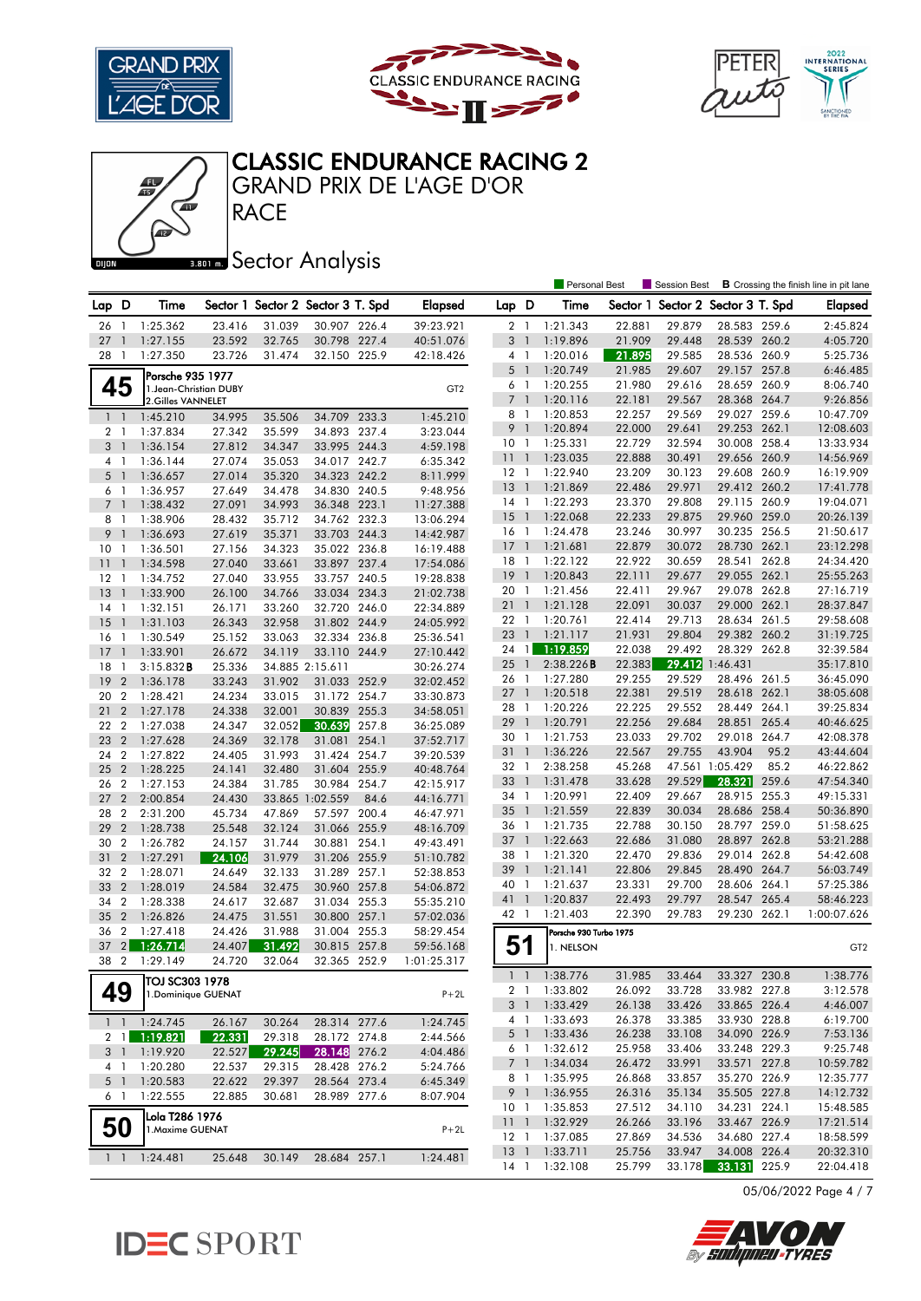

Œ





# CLASSIC ENDURANCE RACING 2

**RACE** GRAND PRIX DE L'AGE D'OR

### **BRONES** Sector Analysis

|                |                  |                            |        |        |                                   |       |                 |                 |                          | <b>Personal Best</b>   |        | <b>Session Best</b>               |                 |       | <b>B</b> Crossing the finish line in pit lane |
|----------------|------------------|----------------------------|--------|--------|-----------------------------------|-------|-----------------|-----------------|--------------------------|------------------------|--------|-----------------------------------|-----------------|-------|-----------------------------------------------|
| Lap            | D                | Time                       |        |        | Sector 1 Sector 2 Sector 3 T. Spd |       | <b>Elapsed</b>  | Lap D           |                          | Time                   |        | Sector 1 Sector 2 Sector 3 T. Spd |                 |       | Elapsed                                       |
| 26             | $\mathbf{1}$     | 1:25.362                   | 23.416 | 31.039 | 30.907 226.4                      |       | 39:23.921       | 2 <sub>1</sub>  |                          | 1:21.343               | 22.881 | 29.879                            | 28.583 259.6    |       | 2:45.824                                      |
| 27             | $\mathbf{1}$     | 1:27.155                   | 23.592 | 32.765 | 30.798 227.4                      |       | 40:51.076       | 3               | $\overline{\phantom{a}}$ | 1:19.896               | 21.909 | 29.448                            | 28.539 260.2    |       | 4:05.720                                      |
| 28             | $\mathbf{1}$     | 1:27.350                   | 23.726 | 31.474 | 32.150 225.9                      |       | 42:18.426       | $4-1$           |                          | 1:20.016               | 21.895 | 29.585                            | 28.536 260.9    |       | 5:25.736                                      |
|                |                  | Porsche 935 1977           |        |        |                                   |       |                 | $5-1$           |                          | 1:20.749               | 21.985 | 29.607                            | 29.157 257.8    |       | 6:46.485                                      |
| 45             |                  | 1. Jean-Christian DUBY     |        |        |                                   |       | GT <sub>2</sub> | 6 1             |                          | 1:20.255               | 21.980 | 29.616                            | 28.659 260.9    |       | 8:06.740                                      |
|                |                  | 2.Gilles VANNELET          |        |        |                                   |       |                 | $\overline{7}$  | $\overline{\phantom{a}}$ | 1:20.116               | 22.181 | 29.567                            | 28.368 264.7    |       | 9:26.856                                      |
|                | $1\quad1$        | 1:45.210                   | 34.995 | 35.506 | 34.709                            | 233.3 | 1:45.210        | 8               | $\overline{1}$           | 1:20.853               | 22.257 | 29.569                            | 29.027 259.6    |       | 10:47.709                                     |
| 2 <sub>1</sub> |                  | 1:37.834                   | 27.342 | 35.599 | 34.893 237.4                      |       | 3:23.044        | 9               | $\overline{1}$           | 1:20.894               | 22.000 | 29.641                            | 29.253 262.1    |       | 12:08.603                                     |
| 3 <sup>1</sup> |                  | 1:36.154                   | 27.812 | 34.347 | 33.995 244.3                      |       | 4:59.198        | 10              | $\overline{1}$           | 1:25.331               | 22.729 | 32.594                            | 30.008 258.4    |       | 13:33.934                                     |
| 4 1            |                  | 1:36.144                   | 27.074 | 35.053 | 34.017 242.7                      |       | 6:35.342        | $11-1$          |                          | 1:23.035               | 22.888 | 30.491                            | 29.656 260.9    |       | 14:56.969                                     |
| 5 <sub>1</sub> |                  | 1:36.657                   | 27.014 | 35.320 | 34.323 242.2                      |       | 8:11.999        | $12-1$          |                          | 1:22.940               | 23.209 | 30.123                            | 29.608 260.9    |       | 16:19.909                                     |
| 6 1            |                  | 1:36.957                   | 27.649 | 34.478 | 34.830 240.5                      |       | 9:48.956        | 13              | $\overline{1}$           | 1:21.869               | 22.486 | 29.971                            | 29.412 260.2    |       | 17:41.778                                     |
| 7 <sub>1</sub> |                  | 1:38.432                   | 27.091 | 34.993 | 36.348 223.1                      |       | 11:27.388       | 14 1            |                          | 1:22.293               | 23.370 | 29.808                            | 29.115 260.9    |       | 19:04.071                                     |
| 8              | - 1              | 1:38.906                   | 28.432 | 35.712 | 34.762 232.3                      |       | 13:06.294       | 15              | $\overline{1}$           | 1:22.068               | 22.233 | 29.875                            | 29.960 259.0    |       | 20:26.139                                     |
| 9              | $\overline{1}$   | 1:36.693                   | 27.619 | 35.371 | 33.703 244.3                      |       | 14:42.987       | 16 1            |                          | 1:24.478               | 23.246 | 30.997                            | 30.235 256.5    |       | 21:50.617                                     |
| 10             | $\overline{1}$   | 1:36.501                   | 27.156 | 34.323 | 35.022 236.8                      |       | 16:19.488       | 17              | $\overline{1}$           | 1:21.681               | 22.879 | 30.072                            | 28.730 262.1    |       | 23:12.298                                     |
| 11             | $\mathbf{1}$     | 1:34.598                   | 27.040 | 33.661 | 33.897 237.4                      |       | 17:54.086       | $18-1$          |                          | 1:22.122               | 22.922 | 30.659                            | 28.541 262.8    |       | 24:34.420                                     |
| 12             | $\mathbf{1}$     | 1:34.752                   | 27.040 | 33.955 | 33.757 240.5                      |       | 19:28.838       | 19              | $\overline{1}$           | 1:20.843               | 22.111 | 29.677                            | 29.055 262.1    |       | 25:55.263                                     |
| 13             | $\overline{1}$   | 1:33.900                   | 26.100 | 34.766 | 33.034 234.3                      |       | 21:02.738       | 20              | $\mathbf{1}$             | 1:21.456               | 22.411 | 29.967                            | 29.078 262.8    |       | 27:16.719                                     |
| 14             | $\overline{1}$   | 1:32.151                   | 26.171 | 33.260 | 32.720 246.0                      |       | 22:34.889       | 21              | $\overline{1}$           | 1:21.128               | 22.091 | 30.037                            | 29.000 262.1    |       | 28:37.847                                     |
| 15             | $\overline{1}$   | 1:31.103                   | 26.343 | 32.958 | 31.802 244.9                      |       | 24:05.992       | 22 1            |                          | 1:20.761               | 22.414 | 29.713                            | 28.634 261.5    |       | 29:58.608                                     |
| 16             | $\mathbf{1}$     | 1:30.549                   | 25.152 | 33.063 | 32.334 236.8                      |       | 25:36.541       | 23 1            |                          | 1:21.117               | 21.931 | 29.804                            | 29.382 260.2    |       | 31:19.725                                     |
| 17             | $\mathbf{1}$     | 1:33.901                   | 26.672 | 34.119 | 33.110 244.9                      |       | 27:10.442       | 24              | $\mathbf{1}$             | 1:19.859               | 22.038 | 29.492                            | 28.329 262.8    |       | 32:39.584                                     |
| 18             | -1               | 3:15.832B                  | 25.336 |        | 34.885 2:15.611                   |       | 30:26.274       | 25              | $\overline{1}$           | 2:38.226B              | 22.383 | 29.412                            | 1:46.431        |       | 35:17.810                                     |
| 19             | $\overline{2}$   | 1:36.178                   | 33.243 | 31.902 | 31.033 252.9                      |       | 32:02.452       | 26 1            |                          | 1:27.280               | 29.255 | 29.529                            | 28.496 261.5    |       | 36:45.090                                     |
| 20             | $\overline{2}$   | 1:28.421                   | 24.234 | 33.015 | 31.172 254.7                      |       | 33:30.873       | 27              | $\overline{1}$           | 1:20.518               | 22.381 | 29.519                            | 28.618 262.1    |       | 38:05.608                                     |
| 21             | $\overline{2}$   | 1:27.178                   | 24.338 | 32.001 | 30.839                            | 255.3 | 34:58.051       | 28 1            |                          | 1:20.226               | 22.225 | 29.552                            | 28.449 264.1    |       | 39:25.834                                     |
| 22             | $\overline{2}$   | 1:27.038                   | 24.347 | 32.052 | 30.639                            | 257.8 | 36:25.089       | 29              | $\overline{1}$           | 1:20.791               | 22.256 | 29.684                            | 28.851          | 265.4 | 40:46.625                                     |
| 23             | $\overline{2}$   | 1:27.628                   | 24.369 | 32.178 | 31.081                            | 254.1 | 37:52.717       | 30 1            |                          | 1:21.753               | 23.033 | 29.702                            | 29.018 264.7    |       | 42:08.378                                     |
| 24             | $\overline{2}$   | 1:27.822                   | 24.405 | 31.993 | 31.424 254.7                      |       | 39:20.539       | 31 1            |                          | 1:36.226               | 22.567 | 29.755                            | 43.904          | 95.2  | 43:44.604                                     |
| 25             | $\overline{2}$   | 1:28.225                   | 24.141 | 32.480 | 31.604 255.9                      |       | 40:48.764       | 32 1            |                          | 2:38.258               | 45.268 |                                   | 47.561 1:05.429 | 85.2  | 46:22.862                                     |
| 26             | $\overline{2}$   | 1:27.153                   | 24.384 | 31.785 | 30.984 254.7                      |       | 42:15.917       | 33 1            |                          | 1:31.478               | 33.628 | 29.529                            | 28.321          | 259.6 | 47:54.340                                     |
| 27             | $\overline{2}$   | 2:00.854                   | 24.430 |        | 33.865 1:02.559                   | 84.6  | 44:16.771       | 34              | $\overline{1}$           | 1:20.991               | 22.409 | 29.667                            | 28.915 255.3    |       | 49:15.331                                     |
| 28             | $\overline{2}$   | 2:31.200                   | 45.734 | 47.869 | 57.597 200.4                      |       | 46:47.971       | 35 1            |                          | 1:21.559               | 22.839 | 30.034                            | 28.686 258.4    |       | 50:36.890                                     |
| 29             | $\overline{2}$   | 1:28.738                   | 25.548 | 32.124 | 31.066                            | 255.9 | 48:16.709       | 36 1            |                          | 1:21.735               | 22.788 | 30.150                            | 28.797 259.0    |       | 51:58.625                                     |
| 30             | $\boldsymbol{2}$ | 1:26.782                   | 24.157 | 31.744 | 30.881                            | 254.1 | 49:43.491       | 37              | $\overline{1}$           | 1:22.663               | 22.686 | 31.080                            | 28.897 262.8    |       | 53:21.288                                     |
| 31             | $\overline{2}$   | 1:27.291                   | 24.106 | 31.979 | 31.206 255.9                      |       | 51:10.782       | 38              | $\overline{1}$           | 1:21.320               | 22.470 | 29.836                            | 29.014          | 262.8 | 54:42.608                                     |
| 32             | $\overline{2}$   | 1:28.071                   | 24.649 | 32.133 | 31.289                            | 257.1 | 52:38.853       | 39              | $\overline{1}$           | 1:21.141               | 22.806 | 29.845                            | 28.490 264.7    |       | 56:03.749                                     |
| 33             | $\overline{2}$   | 1:28.019                   | 24.584 | 32.475 | 30.960 257.8                      |       | 54:06.872       | 40 1            |                          | 1:21.637               | 23.331 | 29.700                            | 28.606 264.1    |       | 57:25.386                                     |
| 34             | $\overline{2}$   | 1:28.338                   | 24.617 | 32.687 | 31.034 255.3                      |       | 55:35.210       | 41              | $\overline{1}$           | 1:20.837               | 22.493 | 29.797                            | 28.547          | 265.4 | 58:46.223                                     |
| 35             | $\overline{2}$   | 1:26.826                   | 24.475 | 31.551 | 30.800 257.1                      |       | 57:02.036       | 42 1            |                          | 1:21.403               | 22.390 | 29.783                            | 29.230 262.1    |       | 1:00:07.626                                   |
| 36             | $\overline{2}$   | 1:27.418                   | 24.426 | 31.988 | 31.004 255.3                      |       | 58:29.454       |                 |                          | Porsche 930 Turbo 1975 |        |                                   |                 |       |                                               |
| 37             | 2 <sub>1</sub>   | 1:26.714                   | 24.407 | 31.492 | 30.815 257.8                      |       | 59:56.168       | 51              |                          | 1. NELSON              |        |                                   |                 |       | GT <sub>2</sub>                               |
| 38             |                  | 2 1:29.149                 | 24.720 | 32.064 | 32.365 252.9                      |       | 1:01:25.317     |                 |                          |                        |        |                                   |                 |       |                                               |
|                |                  | TOJ SC303 1978             |        |        |                                   |       |                 |                 |                          | 1 1 1:38.776           | 31.985 | 33.464                            | 33.327 230.8    |       | 1:38.776                                      |
| 49             |                  | 1. Dominique GUENAT        |        |        |                                   |       | $P+2L$          |                 |                          | 2 1 1:33.802           | 26.092 | 33.728                            | 33.982 227.8    |       | 3:12.578                                      |
|                |                  |                            |        |        |                                   |       |                 |                 | 3 <sup>1</sup>           | 1:33.429               | 26.138 | 33.426                            | 33.865 226.4    |       | 4:46.007                                      |
|                |                  | $1 \quad 1 \quad 1:24.745$ | 26.167 | 30.264 | 28.314 277.6                      |       | 1:24.745        |                 | 4 1                      | 1:33.693               | 26.378 | 33.385                            | 33.930 228.8    |       | 6:19.700                                      |
|                |                  | 2 1 1:19.821               | 22.331 | 29.318 | 28.172 274.8                      |       | 2:44.566        |                 | 5 1                      | 1:33.436               | 26.238 | 33.108                            | 34.090 226.9    |       | 7:53.136                                      |
|                |                  | 3 1 1:19.920               | 22.527 | 29.245 | 28.148 276.2                      |       | 4:04.486        |                 | 6 1                      | 1:32.612               | 25.958 | 33.406                            | 33.248 229.3    |       | 9:25.748                                      |
| 4 1            |                  | 1:20.280                   | 22.537 | 29.315 | 28.428 276.2                      |       | 5:24.766        |                 | 7 1                      | 1:34.034               | 26.472 | 33.991                            | 33.571 227.8    |       | 10:59.782                                     |
| $5-1$          |                  | 1:20.583                   | 22.622 | 29.397 | 28.564 273.4                      |       | 6:45.349        |                 | 8 1                      | 1:35.995               | 26.868 | 33.857                            | 35.270 226.9    |       | 12:35.777                                     |
| 6 1            |                  | 1:22.555                   | 22.885 | 30.681 | 28.989 277.6                      |       | 8:07.904        |                 | 9 1                      | 1:36.955               | 26.316 | 35.134                            | 35.505 227.8    |       | 14:12.732                                     |
|                |                  | Lola T286 1976             |        |        |                                   |       |                 | 10 <sub>1</sub> |                          | 1:35.853               | 27.512 | 34.110                            | 34.231 224.1    |       | 15:48.585                                     |
|                | 50               | 1. Maxime GUENAT           |        |        |                                   |       | $P+2L$          | 11 <sub>1</sub> |                          | 1:32.929               | 26.266 | 33.196                            | 33.467 226.9    |       | 17:21.514                                     |
|                |                  |                            |        |        |                                   |       |                 | $12-1$          |                          | 1:37.085               | 27.869 | 34.536                            | 34.680 227.4    |       | 18:58.599                                     |
|                |                  | $1 \quad 1 \quad 1:24.481$ | 25.648 | 30.149 | 28.684 257.1                      |       | 1:24.481        | 13 <sup>1</sup> |                          | 1:33.711               | 25.756 | 33.947                            | 34.008 226.4    |       | 20:32.310                                     |
|                |                  |                            |        |        |                                   |       |                 | 14 1            |                          | 1:32.108               | 25.799 | 33.178                            | 33.131 225.9    |       | 22:04.418                                     |

05/06/2022 Page 4 / 7



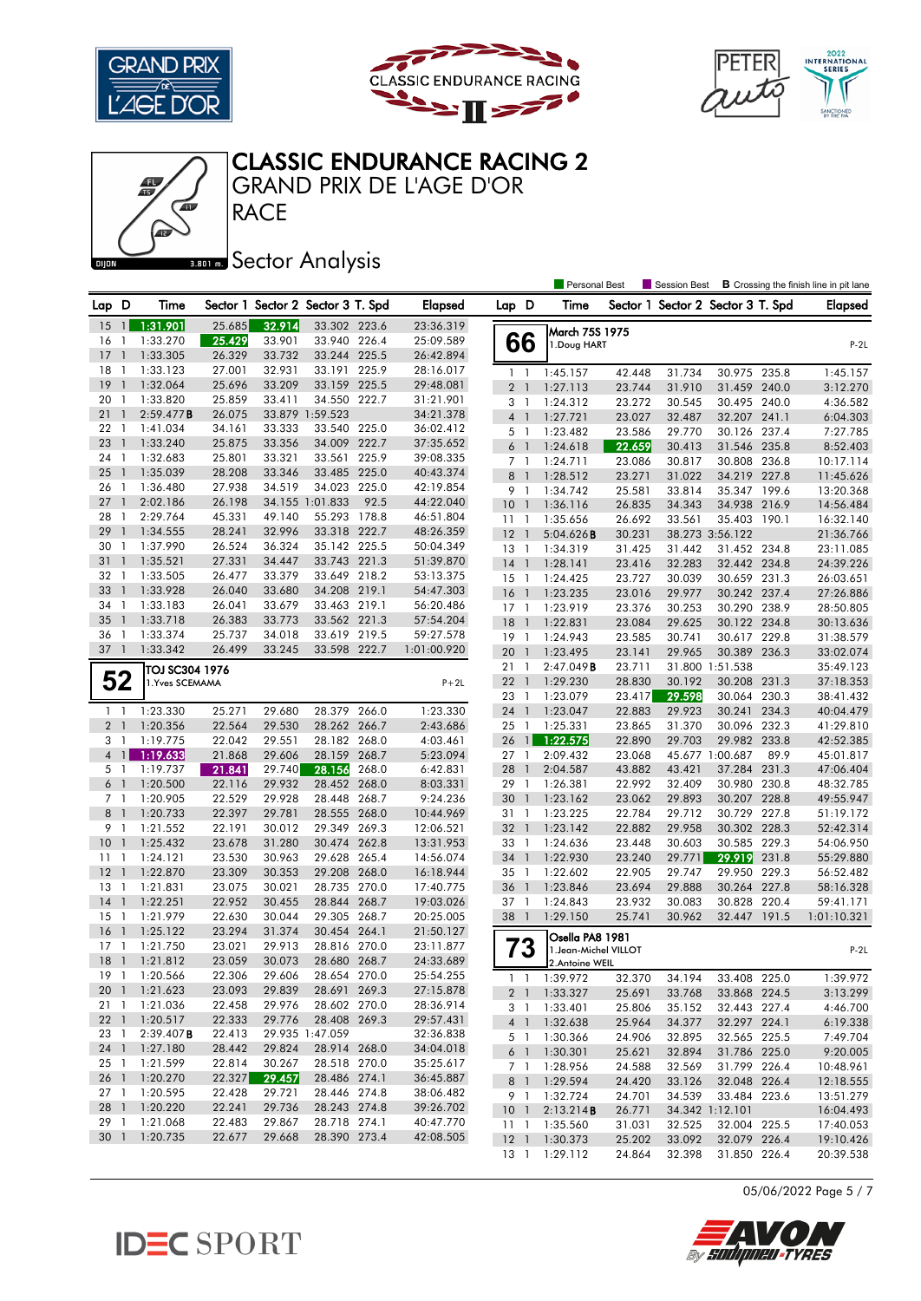







**RACE** GRAND PRIX DE L'AGE D'OR

### **BRONES** Sector Analysis

|                                  |                          |                      |                  |                  |                                   |       |                        |                         |                          | <b>Personal Best</b>                    |                  | <b>B</b> Crossing the finish line in pit lane<br>Session Best |                              |       |                        |
|----------------------------------|--------------------------|----------------------|------------------|------------------|-----------------------------------|-------|------------------------|-------------------------|--------------------------|-----------------------------------------|------------------|---------------------------------------------------------------|------------------------------|-------|------------------------|
| Lap D                            |                          | Time                 |                  |                  | Sector 1 Sector 2 Sector 3 T. Spd |       | <b>Elapsed</b>         | Lap D                   |                          | Time                                    |                  | Sector 1 Sector 2 Sector 3 T. Spd                             |                              |       | <b>Elapsed</b>         |
| 15                               | $\overline{1}$           | 1:31.901             | 25.685           | 32.914           | 33.302 223.6                      |       | 23:36.319              |                         |                          | March 75S 1975                          |                  |                                                               |                              |       |                        |
| 16                               | $\mathbf{1}$             | 1:33.270             | 25.429           | 33.901           | 33.940 226.4                      |       | 25:09.589              | 66                      |                          | 1.Doug HART                             |                  |                                                               |                              |       | $P-2L$                 |
| 17                               | $\mathbf{1}$             | 1:33.305             | 26.329           | 33.732           | 33.244 225.5                      |       | 26:42.894              |                         |                          |                                         |                  |                                                               |                              |       |                        |
| 18                               | -1                       | 1:33.123             | 27.001           | 32.931           | 33.191 225.9                      |       | 28:16.017              | $1\quad$                |                          | 1:45.157                                | 42.448           | 31.734                                                        | 30.975 235.8                 |       | 1:45.157               |
| 19                               | $\mathbf{1}$             | 1:32.064             | 25.696           | 33.209           | 33.159 225.5                      |       | 29:48.081              | $\overline{2}$          | $\overline{1}$           | 1:27.113                                | 23.744           | 31.910                                                        | 31.459 240.0                 |       | 3:12.270               |
| 20                               | -1                       | 1:33.820             | 25.859           | 33.411           | 34.550 222.7                      |       | 31:21.901              | 3                       | $\overline{1}$           | 1:24.312                                | 23.272           | 30.545                                                        | 30.495 240.0                 |       | 4:36.582               |
| 21                               | $\mathbf{1}$             | 2:59.477B            | 26.075           |                  | 33.879 1:59.523                   |       | 34:21.378              | 4 <sup>1</sup>          |                          | 1:27.721                                | 23.027           | 32.487                                                        | 32.207 241.1                 |       | 6:04.303               |
| 22                               | -1                       | 1:41.034             | 34.161           | 33.333           | 33.540 225.0                      |       | 36:02.412              | 5 1                     |                          | 1:23.482                                | 23.586           | 29.770                                                        | 30.126 237.4                 |       | 7:27.785               |
| 23                               | $\overline{\phantom{a}}$ | 1:33.240             | 25.875           | 33.356           | 34.009 222.7                      |       | 37:35.652              | 6                       | $\overline{1}$           | 1:24.618                                | 22.659           | 30.413                                                        | 31.546 235.8                 |       | 8:52.403               |
| 24                               | -1                       | 1:32.683             | 25.801           | 33.321           | 33.561 225.9                      |       | 39:08.335              | 7 <sub>1</sub>          |                          | 1:24.711                                | 23.086           | 30.817                                                        | 30.808 236.8                 |       | 10:17.114              |
| 25                               | $\mathbf{1}$             | 1:35.039             | 28.208           | 33.346           | 33.485 225.0                      |       | 40:43.374              | 8                       | $\overline{1}$           | 1:28.512                                | 23.271           | 31.022                                                        | 34.219 227.8                 |       | 11:45.626              |
| 26                               | - 1                      | 1:36.480             | 27.938           | 34.519           | 34.023 225.0                      |       | 42:19.854              | 9 1                     |                          | 1:34.742                                | 25.581           | 33.814                                                        | 35.347 199.6                 |       | 13:20.368              |
| 27                               | $\overline{\phantom{a}}$ | 2:02.186             | 26.198           |                  | 34.155 1:01.833                   | 92.5  | 44:22.040              | 10 <sup>°</sup>         | $\overline{1}$           | 1:36.116                                | 26.835           | 34.343                                                        | 34.938 216.9                 |       | 14:56.484              |
| 28                               | $\mathbf{1}$             | 2:29.764             | 45.331           | 49.140           | 55.293 178.8                      |       | 46:51.804              | $11-1$                  |                          | 1:35.656                                | 26.692           | 33.561                                                        | 35.403 190.1                 |       | 16:32.140              |
| 29                               | $\mathbf{1}$             | 1:34.555             | 28.241           | 32.996           | 33.318 222.7                      |       | 48:26.359              | 12                      | $\overline{1}$           | 5:04.626B                               | 30.231           |                                                               | 38.273 3:56.122              |       | 21:36.766              |
| 30                               | -1                       | 1:37.990             | 26.524           | 36.324           | 35.142 225.5                      |       | 50:04.349              | 13                      | $\overline{1}$           | 1:34.319                                | 31.425           | 31.442                                                        | 31.452 234.8                 |       | 23:11.085              |
| 31                               | $\overline{\phantom{a}}$ | 1:35.521             | 27.331           | 34.447           | 33.743 221.3                      |       | 51:39.870              | 14                      | $\overline{1}$           | 1:28.141                                | 23.416           | 32.283                                                        | 32.442 234.8                 |       | 24:39.226              |
| 32                               | $\overline{1}$           | 1:33.505             | 26.477           | 33.379           | 33.649 218.2                      |       | 53:13.375              | $15-1$                  |                          | 1:24.425                                | 23.727           | 30.039                                                        | 30.659 231.3                 |       | 26:03.651              |
| 33                               | -1                       | 1:33.928             | 26.040           | 33.680           | 34.208 219.1                      |       | 54:47.303              | 16                      | $\overline{1}$           | 1:23.235                                | 23.016           | 29.977                                                        | 30.242 237.4                 |       | 27:26.886              |
| 34                               | $\overline{1}$           | 1:33.183             | 26.041           | 33.679           | 33.463 219.1                      |       | 56:20.486              | $17-1$                  |                          | 1:23.919                                | 23.376           | 30.253                                                        | 30.290 238.9                 |       | 28:50.805              |
| 35                               | $\overline{\phantom{a}}$ | 1:33.718             | 26.383           | 33.773           | 33.562 221.3                      |       | 57:54.204              | 18                      | $\overline{1}$           | 1:22.831                                | 23.084           | 29.625                                                        | 30.122 234.8                 |       | 30:13.636              |
| 36                               | -1                       | 1:33.374             | 25.737           | 34.018           | 33.619 219.5                      |       | 59:27.578              | 19                      | $\overline{1}$           | 1:24.943                                | 23.585           | 30.741                                                        | 30.617 229.8                 |       | 31:38.579              |
| 37                               | $\overline{\phantom{a}}$ | 1:33.342             | 26.499           | 33.245           | 33.598 222.7                      |       | 1:01:00.920            | 20                      | $\overline{1}$           | 1:23.495                                | 23.141           | 29.965                                                        | 30.389 236.3                 |       | 33:02.074              |
|                                  |                          | TOJ SC304 1976       |                  |                  |                                   |       |                        | 21                      | -1                       | 2:47.049B                               | 23.711           |                                                               | 31.800 1:51.538              |       | 35:49.123              |
| 52                               |                          | 1. Yves SCEMAMA      |                  |                  |                                   |       | $P+2L$                 | 221                     |                          | 1:29.230                                | 28.830           | 30.192                                                        | 30.208 231.3                 |       | 37:18.353              |
|                                  |                          |                      |                  |                  |                                   |       |                        | 23 1                    |                          | 1:23.079                                | 23.417           | 29.598                                                        | 30.064 230.3                 |       | 38:41.432              |
| $1\quad$                         |                          | 1:23.330             | 25.271           | 29.680           | 28.379 266.0                      |       | 1:23.330               | 24                      | $\overline{1}$           | 1:23.047                                | 22.883           | 29.923                                                        | 30.241 234.3                 |       | 40:04.479              |
| 2 <sub>1</sub>                   |                          | 1:20.356             | 22.564           | 29.530           | 28.262 266.7                      |       | 2:43.686               | 25                      | $\overline{1}$           | 1:25.331                                | 23.865           | 31.370                                                        | 30.096 232.3                 |       | 41:29.810              |
| 3 1                              |                          | 1:19.775             | 22.042           | 29.551           | 28.182 268.0                      |       | 4:03.461               | 26                      | $\frac{1}{2}$            | 1:22.575                                | 22.890           | 29.703                                                        | 29.982 233.8                 |       | 42:52.385              |
| $\overline{4}$                   | $\mathbf{1}$             | 1:19.633             | 21.868           | 29.606           | 28.159 268.7                      |       | 5:23.094               | 27 1                    |                          | 2:09.432                                | 23.068           |                                                               | 45.677 1:00.687              | 89.9  | 45:01.817              |
| 5 1                              |                          | 1:19.737             | 21.841           | 29.740           | 28.156                            | 268.0 | 6:42.831               | 28                      | $\overline{1}$           | 2:04.587                                | 43.882           | 43.421                                                        | 37.284 231.3                 |       | 47:06.404              |
| 6 <sup>1</sup><br>7 <sub>1</sub> |                          | 1:20.500<br>1:20.905 | 22.116           | 29.932           | 28.452 268.0<br>28.448            | 268.7 | 8:03.331               | 29 1                    |                          | 1:26.381                                | 22.992           | 32.409                                                        | 30.980 230.8                 |       | 48:32.785              |
|                                  | $\overline{\phantom{0}}$ |                      | 22.529           | 29.928           | 28.555 268.0                      |       | 9:24.236               | 30                      | $\overline{1}$           | 1:23.162                                | 23.062           | 29.893                                                        | 30.207 228.8<br>30.729 227.8 |       | 49:55.947              |
| 8<br>9 1                         |                          | 1:20.733<br>1:21.552 | 22.397<br>22.191 | 29.781<br>30.012 | 29.349 269.3                      |       | 10:44.969              | 31 1<br>32 <sub>1</sub> |                          | 1:23.225<br>1:23.142                    | 22.784<br>22.882 | 29.712<br>29.958                                              | 30.302 228.3                 |       | 51:19.172<br>52:42.314 |
| 10                               | $\mathbf{1}$             | 1:25.432             | 23.678           | 31.280           | 30.474 262.8                      |       | 12:06.521<br>13:31.953 | 33                      | -1                       | 1:24.636                                | 23.448           | 30.603                                                        | 30.585 229.3                 |       | 54:06.950              |
| 11                               | - 1                      |                      |                  |                  | 29.628 265.4                      |       |                        | 34 1                    |                          |                                         | 23.240           |                                                               | 29.919                       | 231.8 |                        |
| 12                               | $\overline{1}$           | 1:24.121<br>1:22.870 | 23.530<br>23.309 | 30.963<br>30.353 | 29.208 268.0                      |       | 14:56.074<br>16:18.944 | 35 1                    |                          | 1:22.930<br>1:22.602                    | 22.905           | 29.771<br>29.747                                              | 29.950                       | 229.3 | 55:29.880<br>56:52.482 |
| 13                               | $\overline{1}$           | 1:21.831             | 23.075           | 30.021           | 28.735 270.0                      |       | 17:40.775              | 36                      | $\overline{1}$           | 1:23.846                                | 23.694           | 29.888                                                        | 30.264 227.8                 |       | 58:16.328              |
| 14                               | $\overline{\phantom{a}}$ | 1:22.251             | 22.952           | 30.455           | 28.844 268.7                      |       | 19:03.026              | 37 1                    |                          | 1:24.843                                | 23.932           | 30.083                                                        | 30.828 220.4                 |       | 59:41.171              |
| 15                               | $\mathbf{1}$             | 1:21.979             | 22.630           | 30.044           | 29.305 268.7                      |       | 20:25.005              | 38                      | $\overline{\phantom{a}}$ | 1:29.150                                | 25.741           | 30.962                                                        | 32.447 191.5                 |       | 1:01:10.321            |
| 16                               | $\mathbf{1}$             | 1:25.122             | 23.294           | 31.374           | 30.454                            | 264.1 | 21:50.127              |                         |                          |                                         |                  |                                                               |                              |       |                        |
| 17                               | $\mathbf{1}$             | 1:21.750             | 23.021           | 29.913           | 28.816 270.0                      |       | 23:11.877              |                         |                          | Osella PA8 1981                         |                  |                                                               |                              |       |                        |
| 18                               | $\overline{1}$           | 1:21.812             | 23.059           | 30.073           | 28.680 268.7                      |       | 24:33.689              | 73                      |                          | 1. Jean-Michel VILLOT<br>2.Antoine WEIL |                  |                                                               |                              |       | $P-2L$                 |
|                                  |                          | 19 1 1:20.566        | 22.306           | 29.606           | 28.654 270.0                      |       | 25:54.255              |                         |                          |                                         |                  |                                                               |                              |       |                        |
|                                  |                          | 20 1 1:21.623        | 23.093           | 29.839           | 28.691 269.3                      |       | 27:15.878              | $1\quad1$               |                          | 1:39.972                                | 32.370           | 34.194                                                        | 33.408 225.0                 |       | 1:39.972               |
| $21 \quad 1$                     |                          | 1:21.036             | 22.458           | 29.976           | 28.602 270.0                      |       | 28:36.914              | 2 <sup>1</sup>          |                          | 1:33.327                                | 25.691           | 33.768                                                        | 33.868 224.5                 |       | 3:13.299               |
|                                  |                          | 22 1 1:20.517        | 22.333           | 29.776           | 28.408 269.3                      |       | 29:57.431              |                         |                          | 3 1 1:33.401                            | 25.806           | 35.152                                                        | 32.443 227.4                 |       | 4:46.700               |
| 23 1                             |                          | $2:39.407$ B         | 22.413           |                  | 29.935 1:47.059                   |       | 32:36.838              | $4 \quad 1$             |                          | 1:32.638                                | 25.964           | 34.377                                                        | 32.297 224.1                 |       | 6:19.338               |
|                                  |                          | 24 1 1:27.180        | 28.442           | 29.824           | 28.914 268.0                      |       | 34:04.018              | 5 1                     |                          | 1:30.366<br>1:30.301                    | 24.906<br>25.621 | 32.895                                                        | 32.565 225.5<br>31.786 225.0 |       | 7:49.704<br>9:20.005   |
| 25 1                             |                          | 1:21.599             | 22.814           | 30.267           | 28.518 270.0                      |       | 35:25.617              | 6 1                     |                          | 1:28.956                                |                  | 32.894<br>32.569                                              |                              |       |                        |
| 26 1                             |                          | 1:20.270             | 22.327           | 29.457           | 28.486 274.1                      |       | 36:45.887              | 7 1                     |                          | 8 1 1:29.594                            | 24.588<br>24.420 | 33.126                                                        | 31.799 226.4<br>32.048 226.4 |       | 10:48.961<br>12:18.555 |
| $27-1$                           |                          | 1:20.595             | 22.428           | 29.721           | 28.446 274.8                      |       | 38:06.482              |                         |                          | 9 1 1:32.724                            | 24.701           | 34.539                                                        | 33.484 223.6                 |       | 13:51.279              |
|                                  |                          | 28 1 1:20.220        | 22.241           | 29.736           | 28.243 274.8                      |       | 39:26.702              | $10-1$                  |                          | 2:13.214B                               | 26.771           |                                                               | 34.342 1:12.101              |       | 16:04.493              |
| 29 1                             |                          | 1:21.068             | 22.483           | 29.867           | 28.718 274.1                      |       | 40:47.770              | 11 <sub>1</sub>         |                          | 1:35.560                                | 31.031           | 32.525                                                        | 32.004 225.5                 |       | 17:40.053              |
|                                  |                          | 30 1 1:20.735        | 22.677           | 29.668           | 28.390 273.4                      |       | 42:08.505              |                         |                          | 12 1 1:30.373                           | 25.202           | 33.092                                                        | 32.079 226.4                 |       | 19:10.426              |
|                                  |                          |                      |                  |                  |                                   |       |                        |                         |                          | 13 1 1:29.112                           | 24.864           | 32.398                                                        | 31.850 226.4                 |       | 20:39.538              |

05/06/2022 Page 5 / 7



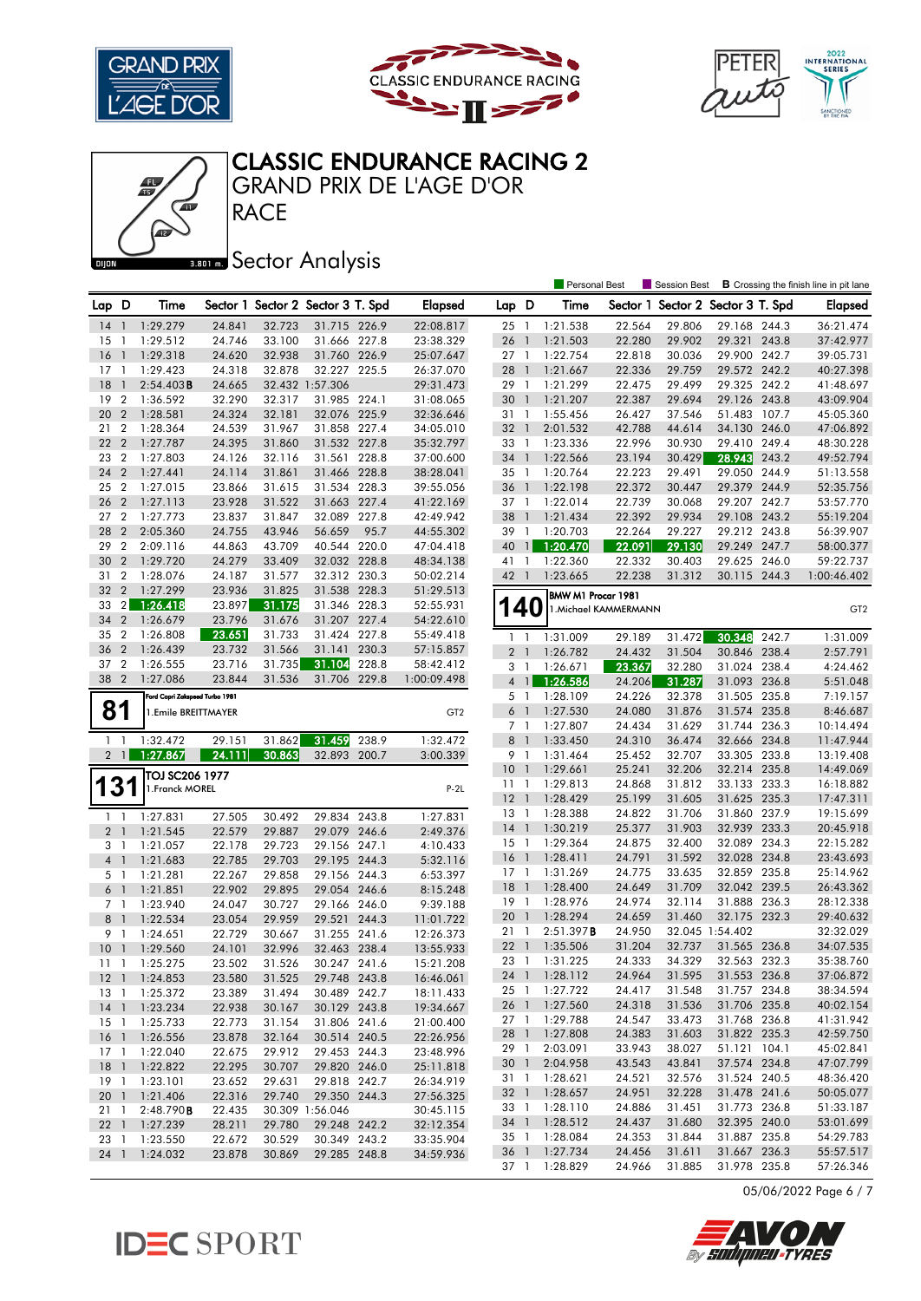







**RACE** GRAND PRIX DE L'AGE D'OR

### **BRONES** Sector Analysis

|                       |                 |                                |        |                                   |                              |       |                 |                 |                | Personal Best      |                       | <b>Session Best</b>               |                 |       | <b>B</b> Crossing the finish line in pit lane |
|-----------------------|-----------------|--------------------------------|--------|-----------------------------------|------------------------------|-------|-----------------|-----------------|----------------|--------------------|-----------------------|-----------------------------------|-----------------|-------|-----------------------------------------------|
| Lap D                 |                 | Time                           |        | Sector 1 Sector 2 Sector 3 T. Spd |                              |       | Elapsed         | Lap D           |                | Time               |                       | Sector 1 Sector 2 Sector 3 T. Spd |                 |       | <b>Elapsed</b>                                |
| 14                    | $\overline{1}$  | 1:29.279                       | 24.841 | 32.723                            | 31.715 226.9                 |       | 22:08.817       | 25 1            |                | 1:21.538           | 22.564                | 29.806                            | 29.168 244.3    |       | 36:21.474                                     |
| 15                    | -1              | 1:29.512                       | 24.746 | 33.100                            | 31.666 227.8                 |       | 23:38.329       | 26              | $\mathbf{1}$   | 1:21.503           | 22.280                | 29.902                            | 29.321 243.8    |       | 37:42.977                                     |
| 16                    | $\mathbf{1}$    | 1:29.318                       | 24.620 | 32.938                            | 31.760 226.9                 |       | 25:07.647       | 27 1            |                | 1:22.754           | 22.818                | 30.036                            | 29.900 242.7    |       | 39:05.731                                     |
| 17                    | -1              | 1:29.423                       | 24.318 | 32.878                            | 32.227 225.5                 |       | 26:37.070       | 28              | $\overline{1}$ | 1:21.667           | 22.336                | 29.759                            | 29.572 242.2    |       | 40:27.398                                     |
| 18                    | $\mathbf{1}$    | $2:54.403$ B                   | 24.665 |                                   | 32.432 1:57.306              |       | 29:31.473       | 29 1            |                | 1:21.299           | 22.475                | 29.499                            | 29.325 242.2    |       | 41:48.697                                     |
| 19                    | $\overline{2}$  | 1:36.592                       | 32.290 | 32.317                            | 31.985 224.1                 |       | 31:08.065       | 30              | $\overline{1}$ | 1:21.207           | 22.387                | 29.694                            | 29.126 243.8    |       | 43:09.904                                     |
| 20                    | $\overline{2}$  | 1:28.581                       | 24.324 | 32.181                            | 32.076 225.9                 |       | 32:36.646       | 31 1            |                | 1:55.456           | 26.427                | 37.546                            | 51.483 107.7    |       | 45:05.360                                     |
| 21                    | $\overline{2}$  | 1:28.364                       | 24.539 | 31.967                            | 31.858 227.4                 |       | 34:05.010       | 32 <sub>1</sub> |                | 2:01.532           | 42.788                | 44.614                            | 34.130 246.0    |       | 47:06.892                                     |
| 22                    | $\overline{2}$  | 1:27.787                       | 24.395 | 31.860                            | 31.532 227.8                 |       | 35:32.797       | 33 1            |                | 1:23.336           | 22.996                | 30.930                            | 29.410 249.4    |       | 48:30.228                                     |
| 23                    | $\overline{2}$  | 1:27.803                       | 24.126 | 32.116                            | 31.561 228.8                 |       | 37:00.600       | 34 1            |                | 1:22.566           | 23.194                | 30.429                            | 28.943          | 243.2 | 49:52.794                                     |
| 24                    | $\overline{2}$  | 1:27.441                       | 24.114 | 31.861                            | 31.466 228.8                 |       | 38:28.041       | 35 1            |                | 1:20.764           | 22.223                | 29.491                            | 29.050 244.9    |       | 51:13.558                                     |
| 25                    | $\overline{2}$  | 1:27.015                       | 23.866 | 31.615                            | 31.534 228.3                 |       | 39:55.056       | 36 1            |                | 1:22.198           | 22.372                | 30.447                            | 29.379 244.9    |       | 52:35.756                                     |
|                       | $\overline{2}$  | 1:27.113                       |        |                                   |                              |       |                 |                 |                | 1:22.014           |                       | 30.068                            | 29.207 242.7    |       |                                               |
| 26<br>27 <sub>2</sub> |                 |                                | 23.928 | 31.522                            | 31.663 227.4<br>32.089 227.8 |       | 41:22.169       | 37 1<br>38      | $\mathbf{1}$   |                    | 22.739                |                                   |                 |       | 53:57.770                                     |
| 28                    | $\overline{2}$  | 1:27.773                       | 23.837 | 31.847                            | 56.659                       | 95.7  | 42:49.942       |                 |                | 1:21.434           | 22.392                | 29.934                            | 29.108 243.2    |       | 55:19.204                                     |
|                       |                 | 2:05.360                       | 24.755 | 43.946                            |                              |       | 44:55.302       | 39 1            |                | 1:20.703           | 22.264                | 29.227                            | 29.212 243.8    |       | 56:39.907                                     |
| 29                    | $\overline{2}$  | 2:09.116                       | 44.863 | 43.709                            | 40.544 220.0                 |       | 47:04.418       | 40              | $\mathbf{1}$   | 1:20.470           | 22.091                | 29.130                            | 29.249 247.7    |       | 58:00.377                                     |
| 30                    | $\overline{2}$  | 1:29.720                       | 24.279 | 33.409                            | 32.032 228.8                 |       | 48:34.138       | 41 1            |                | 1:22.360           | 22.332                | 30.403                            | 29.625 246.0    |       | 59:22.737                                     |
| 31                    | $\overline{2}$  | 1:28.076                       | 24.187 | 31.577                            | 32.312 230.3                 |       | 50:02.214       | 42              | $\overline{1}$ | 1:23.665           | 22.238                | 31.312                            | 30.115 244.3    |       | 1:00:46.402                                   |
| 32                    | $\overline{2}$  | 1:27.299                       | 23.936 | 31.825                            | 31.538 228.3                 |       | 51:29.513       |                 |                | BMW M1 Procar 1981 |                       |                                   |                 |       |                                               |
| 33                    | $\overline{2}$  | 1:26.418                       | 23.897 | 31.175                            | 31.346 228.3                 |       | 52:55.931       | 140             |                |                    | 1. Michael KAMMERMANN |                                   |                 |       | GT <sub>2</sub>                               |
| 34                    | $\overline{2}$  | 1:26.679                       | 23.796 | 31.676                            | 31.207 227.4                 |       | 54:22.610       |                 |                |                    |                       |                                   |                 |       |                                               |
| 35                    | $\overline{2}$  | 1:26.808                       | 23.651 | 31.733                            | 31.424 227.8                 |       | 55:49.418       | $1\quad$        |                | 1:31.009           | 29.189                | 31.472                            | 30.348          | 242.7 | 1:31.009                                      |
| 36                    | $\overline{2}$  | 1:26.439                       | 23.732 | 31.566                            | 31.141                       | 230.3 | 57:15.857       | $\overline{2}$  | $\overline{1}$ | 1:26.782           | 24.432                | 31.504                            | 30.846 238.4    |       | 2:57.791                                      |
| 37 2                  |                 | 1:26.555                       | 23.716 | 31.735                            | 31.104                       | 228.8 | 58:42.412       | 3               | -1             | 1:26.671           | 23.367                | 32.280                            | 31.024 238.4    |       | 4:24.462                                      |
| 38                    | $\overline{2}$  | 1:27.086                       | 23.844 | 31.536                            | 31.706                       | 229.8 | 1:00:09.498     | 4 <sup>1</sup>  |                | 1:26.586           | 24.206                | 31.287                            | 31.093 236.8    |       | 5:51.048                                      |
|                       |                 | Ford Capri Zakspeed Turbo 1981 |        |                                   |                              |       |                 | 5 1             |                | 1:28.109           | 24.226                | 32.378                            | 31.505 235.8    |       | 7:19.157                                      |
| 81                    |                 | 1.Emile BREITTMAYER            |        |                                   |                              |       | GT <sub>2</sub> | $6-1$           |                | 1:27.530           | 24.080                | 31.876                            | 31.574 235.8    |       | 8:46.687                                      |
|                       |                 |                                |        |                                   |                              |       |                 | 7 1             |                | 1:27.807           | 24.434                | 31.629                            | 31.744 236.3    |       | 10:14.494                                     |
| $1\quad$              |                 | 1:32.472                       | 29.151 | 31.862                            | 31.459                       | 238.9 | 1:32.472        | 8               | $\overline{1}$ | 1:33.450           | 24.310                | 36.474                            | 32.666 234.8    |       | 11:47.944                                     |
|                       | $2 \mid 1 \mid$ | 1:27.867                       | 24.111 | 30.863                            | 32.893 200.7                 |       | 3:00.339        | 9 1             |                | 1:31.464           | 25.452                | 32.707                            | 33.305 233.8    |       | 13:19.408                                     |
|                       |                 | TOJ SC206 1977                 |        |                                   |                              |       |                 | 10              | $\overline{1}$ | 1:29.661           | 25.241                | 32.206                            | 32.214 235.8    |       | 14:49.069                                     |
| 13                    |                 | 1. Franck MOREL                |        |                                   |                              |       | $P-2L$          | $11-1$          |                | 1:29.813           | 24.868                | 31.812                            | 33.133 233.3    |       | 16:18.882                                     |
|                       |                 |                                |        |                                   |                              |       |                 | $12-1$          |                | 1:28.429           | 25.199                | 31.605                            | 31.625 235.3    |       | 17:47.311                                     |
| $1\quad$              |                 | 1:27.831                       | 27.505 | 30.492                            | 29.834 243.8                 |       | 1:27.831        | 13              | $\overline{1}$ | 1:28.388           | 24.822                | 31.706                            | 31.860 237.9    |       | 19:15.699                                     |
| 2 <sub>1</sub>        |                 | 1:21.545                       | 22.579 | 29.887                            | 29.079 246.6                 |       | 2:49.376        | $14-1$          |                | 1:30.219           | 25.377                | 31.903                            | 32.939 233.3    |       | 20:45.918                                     |
| 3 1                   |                 | 1:21.057                       | 22.178 | 29.723                            | 29.156 247.1                 |       | 4:10.433        | 15              | $\overline{1}$ | 1:29.364           | 24.875                | 32.400                            | 32.089 234.3    |       | 22:15.282                                     |
| $4-1$                 |                 | 1:21.683                       | 22.785 | 29.703                            | 29.195 244.3                 |       | 5:32.116        | 16              | $\overline{1}$ | 1:28.411           | 24.791                | 31.592                            | 32.028 234.8    |       | 23:43.693                                     |
| 5 1                   |                 | 1:21.281                       | 22.267 | 29.858                            | 29.156 244.3                 |       | 6:53.397        | $17-1$          |                | 1:31.269           | 24.775                | 33.635                            | 32.859 235.8    |       | 25:14.962                                     |
| 6 <sup>1</sup>        |                 | 1:21.851                       | 22.902 | 29.895                            | 29.054 246.6                 |       | 8:15.248        | 18              | $\overline{1}$ | 1:28.400           | 24.649                | 31.709                            | 32.042 239.5    |       | 26:43.362                                     |
| 7 1                   |                 | 1:23.940                       | 24.047 | 30.727                            | 29.166 246.0                 |       | 9:39.188        | 19 1            |                | 1:28.976           | 24.974                | 32.114                            | 31.888 236.3    |       | 28:12.338                                     |
| 8                     | $\overline{1}$  | 1:22.534                       | 23.054 | 29.959                            | 29.521                       | 244.3 | 11:01.722       | 20              | $\overline{1}$ | 1:28.294           | 24.659                | 31.460                            | 32.175 232.3    |       | 29:40.632                                     |
| 9 1                   |                 | 1:24.651                       | 22.729 | 30.667                            | 31.255 241.6                 |       | 12:26.373       | 21              | - 1            | 2:51.397B          | 24.950                |                                   | 32.045 1:54.402 |       | 32:32.029                                     |
| 10                    | $\mathbf{1}$    | 1:29.560                       | 24.101 | 32.996                            | 32.463 238.4                 |       | 13:55.933       | 22              | $\overline{1}$ | 1:35.506           | 31.204                | 32.737                            | 31.565 236.8    |       | 34:07.535                                     |
| 11                    | $\overline{1}$  | 1:25.275                       | 23.502 | 31.526                            | 30.247 241.6                 |       | 15:21.208       | 23 1            |                | 1:31.225           | 24.333                | 34.329                            | 32.563 232.3    |       | 35:38.760                                     |
|                       |                 | 12 1 1:24.853                  | 23.580 | 31.525                            | 29.748 243.8                 |       | 16:46.061       |                 |                | 24 1 1:28.112      | 24.964                | 31.595                            | 31.553 236.8    |       | 37:06.872                                     |
|                       |                 | 13 1 1:25.372                  | 23.389 | 31.494                            | 30.489 242.7                 |       | 18:11.433       |                 |                | 25 1 1:27.722      | 24.417                | 31.548                            | 31.757 234.8    |       | 38:34.594                                     |
| 14 <sub>1</sub>       |                 | 1:23.234                       | 22.938 | 30.167                            | 30.129 243.8                 |       | 19:34.667       | 26 1            |                | 1:27.560           | 24.318                | 31.536                            | 31.706 235.8    |       | 40:02.154                                     |
| $15-1$                |                 | 1:25.733                       | 22.773 | 31.154                            | 31.806 241.6                 |       | 21:00.400       | 27 1            |                | 1:29.788           | 24.547                | 33.473                            | 31.768 236.8    |       | 41:31.942                                     |
|                       |                 | 16 1 1:26.556                  | 23.878 | 32.164                            | 30.514 240.5                 |       | 22:26.956       |                 |                | 28 1 1:27.808      | 24.383                | 31.603                            | 31.822 235.3    |       | 42:59.750                                     |
|                       |                 | 17 1 1:22.040                  | 22.675 | 29.912                            | 29.453 244.3                 |       | 23:48.996       | 29 1            |                | 2:03.091           | 33.943                | 38.027                            | 51.121 104.1    |       | 45:02.841                                     |
|                       |                 | 18 1 1:22.822                  | 22.295 | 30.707                            | 29.820 246.0                 |       | 25:11.818       | 30 1            |                | 2:04.958           | 43.543                | 43.841                            | 37.574 234.8    |       | 47:07.799                                     |
|                       |                 | 19 1 1:23.101                  | 23.652 | 29.631                            | 29.818 242.7                 |       | 26:34.919       | 31 1            |                | 1:28.621           | 24.521                | 32.576                            | 31.524 240.5    |       | 48:36.420                                     |
|                       |                 | 20 1 1:21.406                  | 22.316 | 29.740                            | 29.350 244.3                 |       | 27:56.325       |                 |                | 32 1 1:28.657      | 24.951                | 32.228                            | 31.478 241.6    |       | 50:05.077                                     |
| 21 1                  |                 | 2:48.790B                      | 22.435 |                                   | 30.309 1:56.046              |       | 30:45.115       | 33 1            |                | 1:28.110           | 24.886                | 31.451                            | 31.773 236.8    |       | 51:33.187                                     |
|                       |                 | 22 1 1:27.239                  | 28.211 | 29.780                            | 29.248 242.2                 |       | 32:12.354       |                 |                | 34 1 1:28.512      | 24.437                | 31.680                            | 32.395 240.0    |       | 53:01.699                                     |
| 23 1                  |                 | 1:23.550                       | 22.672 | 30.529                            | 30.349 243.2                 |       | 33:35.904       |                 |                | 35 1 1:28.084      | 24.353                | 31.844                            | 31.887 235.8    |       | 54:29.783                                     |
|                       |                 | 24 1 1:24.032                  | 23.878 | 30.869                            | 29.285 248.8                 |       | 34:59.936       |                 |                | 36 1 1:27.734      | 24.456                | 31.611                            | 31.667 236.3    |       | 55:57.517                                     |
|                       |                 |                                |        |                                   |                              |       |                 |                 |                | 37 1 1:28.829      | 24.966                | 31.885                            | 31.978 235.8    |       | 57:26.346                                     |

05/06/2022 Page 6 / 7